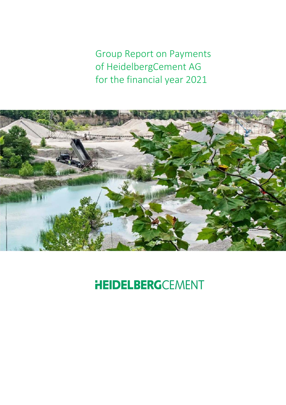Group Report on Payments of HeidelbergCement AG for the financial year 2021



# **HEIDELBERG**CEMENT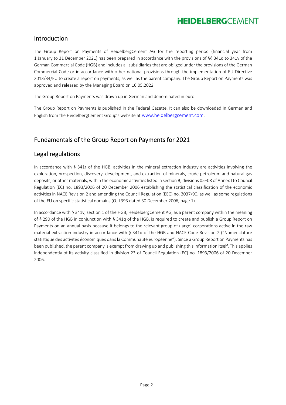#### Introduction

The Group Report on Payments of HeidelbergCement AG for the reporting period (financial year from 1 January to 31 December 2021) has been prepared in accordance with the provisions of §§ 341q to 341y of the German Commercial Code (HGB) and includes all subsidiaries that are obliged under the provisions of the German Commercial Code or in accordance with other national provisions through the implementation of EU Directive 2013/34/EU to create a report on payments, as well as the parent company. The Group Report on Payments was approved and released by the Managing Board on 16.05.2022.

The Group Report on Payments was drawn up in German and denominated in euro.

The Group Report on Payments is published in the Federal Gazette. It can also be downloaded in German and English from the HeidelbergCement Group's website at www.heidelbergcement.com.

### Fundamentals of the Group Report on Payments for 2021

#### Legal regulations

In accordance with § 341r of the HGB, activities in the mineral extraction industry are activities involving the exploration, prospection, discovery, development, and extraction of minerals, crude petroleum and natural gas deposits, or other materials, within the economic activities listed in section B, divisions 05–08 of Annex I to Council Regulation (EC) no. 1893/2006 of 20 December 2006 establishing the statistical classification of the economic activities in NACE Revision 2 and amending the Council Regulation (EEC) no. 3037/90, as well as some regulations of the EU on specific statistical domains (OJ L393 dated 30 December 2006, page 1).

In accordance with § 341v, section 1 of the HGB, HeidelbergCement AG, as a parent company within the meaning of § 290 of the HGB in conjunction with § 341q of the HGB, is required to create and publish a Group Report on Payments on an annual basis because it belongs to the relevant group of (large) corporations active in the raw material extraction industry in accordance with § 341q of the HGB and NACE Code Revision 2 ("Nomenclature statistique des activités économiques dans la Communauté européenne"). Since a Group Report on Payments has been published, the parent company is exempt from drawing up and publishing this information itself. This applies independently of its activity classified in division 23 of Council Regulation (EC) no. 1893/2006 of 20 December 2006.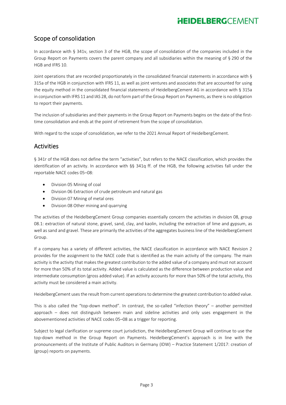#### Scope of consolidation

In accordance with § 341v, section 3 of the HGB, the scope of consolidation of the companies included in the Group Report on Payments covers the parent company and all subsidiaries within the meaning of § 290 of the HGB and IFRS 10.

Joint operations that are recorded proportionately in the consolidated financial statements in accordance with § 315a of the HGB in conjunction with IFRS 11, as well as joint ventures and associates that are accounted for using the equity method in the consolidated financial statements of HeidelbergCement AG in accordance with § 315a in conjunction with IFRS 11 and IAS 28, do not form part of the Group Report on Payments, as there is no obligation to report their payments.

The inclusion of subsidiaries and their payments in the Group Report on Payments begins on the date of the first‐ time consolidation and ends at the point of retirement from the scope of consolidation.

With regard to the scope of consolidation, we refer to the 2021 Annual Report of HeidelbergCement.

#### Activities

§ 341r of the HGB does not define the term "activities", but refers to the NACE classification, which provides the identification of an activity. In accordance with  $\S$ § 341q ff. of the HGB, the following activities fall under the reportable NACE codes 05–08:

- Division 05 Mining of coal
- Division 06 Extraction of crude petroleum and natural gas
- Division 07 Mining of metal ores
- Division 08 Other mining and quarrying

The activities of the HeidelbergCement Group companies essentially concern the activities in division 08, group 08.1: extraction of natural stone, gravel, sand, clay, and kaolin, including the extraction of lime and gypsum, as well as sand and gravel. These are primarily the activities of the aggregates business line of the HeidelbergCement Group.

If a company has a variety of different activities, the NACE classification in accordance with NACE Revision 2 provides for the assignment to the NACE code that is identified as the main activity of the company. The main activity is the activity that makes the greatest contribution to the added value of a company and must not account for more than 50% of its total activity. Added value is calculated as the difference between production value and intermediate consumption (gross added value). If an activity accounts for more than 50% of the total activity, this activity must be considered a main activity.

HeidelbergCement uses the result from current operations to determine the greatest contribution to added value.

This is also called the "top-down method". In contrast, the so-called "infection theory" – another permitted approach – does not distinguish between main and sideline activities and only uses engagement in the abovementioned activities of NACE codes 05–08 as a trigger for reporting.

Subject to legal clarification or supreme court jurisdiction, the HeidelbergCement Group will continue to use the top‐down method in the Group Report on Payments. HeidelbergCement's approach is in line with the pronouncements of the Institute of Public Auditors in Germany (IDW) – Practice Statement 1/2017: creation of (group) reports on payments.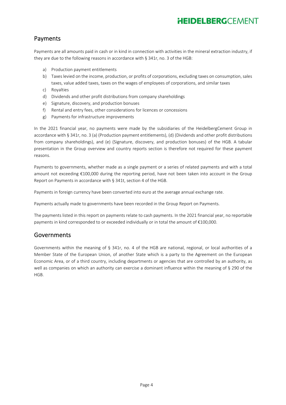#### Payments

Payments are all amounts paid in cash or in kind in connection with activities in the mineral extraction industry, if they are due to the following reasons in accordance with § 341r, no. 3 of the HGB:

- a) Production payment entitlements
- b) Taxes levied on the income, production, or profits of corporations, excluding taxes on consumption, sales taxes, value added taxes, taxes on the wages of employees of corporations, and similar taxes
- c) Royalties
- d) Dividends and other profit distributions from company shareholdings
- e) Signature, discovery, and production bonuses
- f) Rental and entry fees, other considerations for licences or concessions
- g) Payments for infrastructure improvements

In the 2021 financial year, no payments were made by the subsidiaries of the HeidelbergCement Group in accordance with § 341r, no. 3 (a) (Production payment entitlements), (d) (Dividends and other profit distributions from company shareholdings), and (e) (Signature, discovery, and production bonuses) of the HGB. A tabular presentation in the Group overview and country reports section is therefore not required for these payment reasons.

Payments to governments, whether made as a single payment or a series of related payments and with a total amount not exceeding €100,000 during the reporting period, have not been taken into account in the Group Report on Payments in accordance with § 341t, section 4 of the HGB.

Payments in foreign currency have been converted into euro at the average annual exchange rate.

Payments actually made to governments have been recorded in the Group Report on Payments.

The payments listed in this report on payments relate to cash payments. In the 2021 financial year, no reportable payments in kind corresponded to or exceeded individually or in total the amount of €100,000.

#### Governments

Governments within the meaning of  $\S$  341r, no. 4 of the HGB are national, regional, or local authorities of a Member State of the European Union, of another State which is a party to the Agreement on the European Economic Area, or of a third country, including departments or agencies that are controlled by an authority, as well as companies on which an authority can exercise a dominant influence within the meaning of § 290 of the HGB.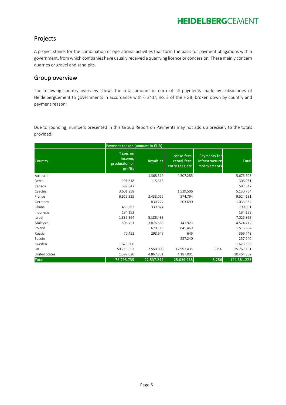#### Projects

A project stands for the combination of operational activities that form the basis for payment obligations with a government, from which companies have usually received a quarrying licence or concession. These mainly concern quarries or gravel and sand pits.

#### Group overview

The following country overview shows the total amount in euro of all payments made by subsidiaries of HeidelbergCement to governments in accordance with § 341r, no. 3 of the HGB, broken down by country and payment reason:

Due to rounding, numbers presented in this Group Report on Payments may not add up precisely to the totals provided.

| Payment reason (amount in EUR) |                                                 |                  |                                                  |                                                       |              |  |  |  |  |  |
|--------------------------------|-------------------------------------------------|------------------|--------------------------------------------------|-------------------------------------------------------|--------------|--|--|--|--|--|
| Country                        | Taxes on<br>income,<br>production or<br>profits | <b>Royalties</b> | License fees,<br>rental fees,<br>entry fees etc. | Payments for<br>infrastructure<br><i>improvements</i> | <b>Total</b> |  |  |  |  |  |
| Australia                      |                                                 | 1.368.319        | 4.307.285                                        |                                                       | 5.675.603    |  |  |  |  |  |
| Benin                          | 191.618                                         | 115.313          |                                                  |                                                       | 306.931      |  |  |  |  |  |
| Canada                         | 597.847                                         |                  |                                                  |                                                       | 597.847      |  |  |  |  |  |
| Czechia                        | 3.601.258                                       |                  | 1.529.506                                        |                                                       | 5.130.764    |  |  |  |  |  |
| France                         | 6.616.335                                       | 2.433.052        | 574.794                                          |                                                       | 9.624.181    |  |  |  |  |  |
| Germany                        |                                                 | 830.277          | 203.690                                          |                                                       | 1.033.967    |  |  |  |  |  |
| Ghana                          | 450.267                                         | 339.824          |                                                  |                                                       | 790.091      |  |  |  |  |  |
| Indonesia                      | 184.193                                         |                  |                                                  |                                                       | 184.193      |  |  |  |  |  |
| Israel                         | 1.839.364                                       | 5.186.488        |                                                  |                                                       | 7.025.853    |  |  |  |  |  |
| Malaysia                       | 505.721                                         | 3.876.568        | 141.923                                          |                                                       | 4.524.212    |  |  |  |  |  |
| Poland                         |                                                 | 670.115          | 845.469                                          |                                                       | 1.515.584    |  |  |  |  |  |
| Russia                         | 70.452                                          | 298.649          | 646                                              |                                                       | 369.748      |  |  |  |  |  |
| Spaein                         |                                                 |                  | 257.240                                          |                                                       | 257.240      |  |  |  |  |  |
| Sweden                         | 1.623.506                                       |                  |                                                  |                                                       | 1.623.506    |  |  |  |  |  |
| <b>UK</b>                      | 59.715.552                                      | 2.550.908        | 12.992.435                                       | 8.256                                                 | 75.267.151   |  |  |  |  |  |
| United States                  | 1.399.620                                       | 4.867.731        | 4.187.001                                        |                                                       | 10.454.352   |  |  |  |  |  |
| Total                          | 76.795.735                                      | 22.537.244       | 25.039.988                                       | 8.256                                                 | 124.381.223  |  |  |  |  |  |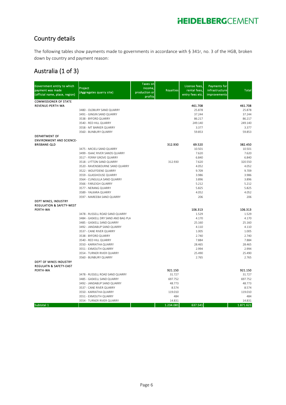### Country details

The following tables show payments made to governments in accordance with § 341r, no. 3 of the HGB, broken down by country and payment reason:

#### Australia (1 of 3)

| Government entity to which<br>payment was made<br>(official name, place, region) | Project<br>(Aggregates quarry site)                 | <b>Taxes on</b><br>income,<br>production or<br>profits | <b>Royalties</b> | License fees,<br>rental fees,<br>entry fees etc. | <b>Payments for</b><br>infrastructure<br>improvements | <b>Total</b>      |
|----------------------------------------------------------------------------------|-----------------------------------------------------|--------------------------------------------------------|------------------|--------------------------------------------------|-------------------------------------------------------|-------------------|
| <b>COMMISSIONER OF STATE</b>                                                     |                                                     |                                                        |                  |                                                  |                                                       |                   |
| REVENUE-PERTH-WA                                                                 | 3480 - OLDBURY SAND QUARRY                          |                                                        |                  | 461.708<br>25.878                                |                                                       | 461.708<br>25.878 |
|                                                                                  | 3491 - GINGIN SAND QUARRY                           |                                                        |                  | 37.244                                           |                                                       | 37.244            |
|                                                                                  | 3538 - BYFORD QUARRY                                |                                                        |                  | 86.217                                           |                                                       | 86.217            |
|                                                                                  | 3540 - RED HILL QUARRY                              |                                                        |                  | 249.140                                          |                                                       | 249.140           |
|                                                                                  | 3558 - MT BARKER QUARRY                             |                                                        |                  | 3.377                                            |                                                       | 3.377             |
|                                                                                  | 3560 - BUNBURY QUARRY                               |                                                        |                  | 59.853                                           |                                                       | 59.853            |
| <b>DEPARTMENT OF</b>                                                             |                                                     |                                                        |                  |                                                  |                                                       |                   |
| <b>ENVIRONMENT AND SCIENCE-</b>                                                  |                                                     |                                                        |                  |                                                  |                                                       |                   |
| <b>BRISBANE-QLD</b>                                                              | 3475 - MICIELI SAND QUARRY                          |                                                        | 312.930          | 69.520<br>10.501                                 |                                                       | 382.450<br>10.501 |
|                                                                                  | 3499 - ISAAC RIVER SANDS QUARRY                     |                                                        |                  | 7.620                                            |                                                       | 7.620             |
|                                                                                  | 3517 - FERNY GROVE QUARRY                           |                                                        |                  | 6.840                                            |                                                       | 6.840             |
|                                                                                  | 3518 - LYTTON SAND QUARRY                           |                                                        | 312.930          | 7.620                                            |                                                       | 320.550           |
|                                                                                  | 3520 - RAVENSBOURNE SAND QUARRY                     |                                                        |                  | 4.052                                            |                                                       | 4.052             |
|                                                                                  | 3522 - WOLFFDENE QUARRY                             |                                                        |                  | 9.709                                            |                                                       | 9.709             |
|                                                                                  | 3559 - GLASSHOUSE QUARRY                            |                                                        |                  | 3.986                                            |                                                       | 3.986             |
|                                                                                  | 3564 - CUNGULLA SAND QUARRY                         |                                                        |                  | 3.896                                            |                                                       | 3.896             |
|                                                                                  | 3566 - FARLEIGH QUARRY                              |                                                        |                  | 5.212                                            |                                                       | 5.212             |
|                                                                                  | 3577 - NERANG QUARRY                                |                                                        |                  | 5.825                                            |                                                       | 5.825             |
|                                                                                  | 3589 - YALKARA QUARRY                               |                                                        |                  | 4.052                                            |                                                       | 4.052             |
|                                                                                  | 3597 - MAREEBA SAND QUARRY                          |                                                        |                  | 206                                              |                                                       | 206               |
| DEPT MINES, INDUSTRY<br><b>REGULATION &amp; SAFETY-WEST</b>                      |                                                     |                                                        |                  |                                                  |                                                       |                   |
| PERTH-WA                                                                         |                                                     |                                                        |                  | 106.313                                          |                                                       | 106.313           |
|                                                                                  | 3478 - RUSSELL ROAD SAND QUARRY                     |                                                        |                  | 1.529                                            |                                                       | 1.529             |
|                                                                                  | 3484 - GASKELL DRY SAND AND BAG PLA                 |                                                        |                  | 4.170                                            |                                                       | 4.170             |
|                                                                                  | 3485 - GASKELL SAND QUARRY                          |                                                        |                  | 25.160                                           |                                                       | 25.160            |
|                                                                                  | 3492 - JANDABUP SAND QUARRY                         |                                                        |                  | 4.110                                            |                                                       | 4.110             |
|                                                                                  | 3537 - CANE RIVER QUARRY                            |                                                        |                  | 1.005                                            |                                                       | 1.005             |
|                                                                                  | 3538 - BYFORD QUARRY                                |                                                        |                  | 2.740                                            |                                                       | 2.740             |
|                                                                                  | 3540 - RED HILL QUARRY<br>3550 - KARRATHA QUARRY    |                                                        |                  | 7.884<br>28.465                                  |                                                       | 7.884<br>28.465   |
|                                                                                  | 3551 - EXMOUTH QUARRY                               |                                                        |                  | 2.994                                            |                                                       | 2.994             |
|                                                                                  | 3554 - TURNER RIVER QUARRY                          |                                                        |                  | 25.490                                           |                                                       | 25.490            |
|                                                                                  | 3560 - BUNBURY QUARRY                               |                                                        |                  | 2.765                                            |                                                       | 2.765             |
| DEPT OF MINES INDUSTRY                                                           |                                                     |                                                        |                  |                                                  |                                                       |                   |
| <b>REGULATN &amp; SAFETY-EAST</b>                                                |                                                     |                                                        |                  |                                                  |                                                       |                   |
| PERTH-WA                                                                         |                                                     |                                                        | 921.150          |                                                  |                                                       | 921.150           |
|                                                                                  | 3478 - RUSSELL ROAD SAND QUARRY                     |                                                        | 31.727           |                                                  |                                                       | 31.727            |
|                                                                                  | 3485 - GASKELL SAND QUARRY                          |                                                        | 697.752          |                                                  |                                                       | 697.752           |
|                                                                                  | 3492 - JANDABUP SAND QUARRY                         |                                                        | 48.773           |                                                  |                                                       | 48.773            |
|                                                                                  | 3537 - CANE RIVER QUARRY                            |                                                        | 8.574            |                                                  |                                                       | 8.574             |
|                                                                                  | 3550 - KARRATHA QUARRY                              |                                                        | 119.010          |                                                  |                                                       | 119.010           |
|                                                                                  | 3551 - EXMOUTH QUARRY<br>3554 - TURNER RIVER QUARRY |                                                        | 484<br>14.831    |                                                  |                                                       | 484<br>14.831     |
| Subtotal 1                                                                       |                                                     |                                                        | 1.234.081        | 637.541                                          |                                                       | 1.871.621         |
|                                                                                  |                                                     |                                                        |                  |                                                  |                                                       |                   |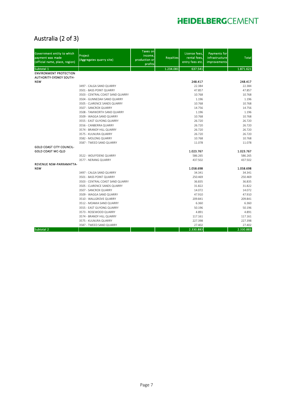### Australia (2 of 3)

| Government entity to which<br>payment was made<br>(official name, place, region) | Project<br>(Aggregates quarry site)                 | Taxes on<br>income,<br>production or<br>profits | <b>Royalties</b> | License fees.<br>rental fees,<br>entry fees etc. | <b>Payments for</b><br>infrastructure<br>improvements | <b>Total</b>     |
|----------------------------------------------------------------------------------|-----------------------------------------------------|-------------------------------------------------|------------------|--------------------------------------------------|-------------------------------------------------------|------------------|
| Subtotal 1                                                                       |                                                     |                                                 | 1.234.081        | 637.541                                          |                                                       | 1.871.621        |
| <b>ENVIRONMENT PROTECTION</b><br><b>AUTHORITY-SYDNEY SOUTH-</b>                  |                                                     |                                                 |                  |                                                  |                                                       |                  |
| <b>NSW</b>                                                                       |                                                     |                                                 |                  | 248.417                                          |                                                       | 248.417          |
|                                                                                  | 3497 - CALGA SAND QUARRY                            |                                                 |                  | 22.384<br>47.857                                 |                                                       | 22.384<br>47.857 |
|                                                                                  | 3501 - BASS POINT QUARRY                            |                                                 |                  |                                                  |                                                       |                  |
|                                                                                  | 3503 - CENTRAL COAST SAND QUARRY                    |                                                 |                  | 10.768                                           |                                                       | 10.768           |
|                                                                                  | 3504 - GUNNEDAH SAND QUARRY                         |                                                 |                  | 1.196                                            |                                                       | 1.196            |
|                                                                                  | 3505 - CLARENCE SANDS QUARRY                        |                                                 |                  | 10.768                                           |                                                       | 10.768           |
|                                                                                  | 3507 - SANCROX QUARRY                               |                                                 |                  | 14.756<br>1.196                                  |                                                       | 14.756           |
|                                                                                  | 3508 - TAMWORTH SAND QUARRY                         |                                                 |                  |                                                  |                                                       | 1.196            |
|                                                                                  | 3509 - WAGGA SAND QUARRY                            |                                                 |                  | 10.768                                           |                                                       | 10.768           |
|                                                                                  | 3555 - EAST GUYONG QUARRY                           |                                                 |                  | 26.720                                           |                                                       | 26.720           |
|                                                                                  | 3556 - CANBERRA QUARRY<br>3574 - BRANDY HILL QUARRY |                                                 |                  | 26.720<br>26.720                                 |                                                       | 26.720<br>26.720 |
|                                                                                  |                                                     |                                                 |                  | 26.720                                           |                                                       | 26.720           |
|                                                                                  | 3575 - KULNURA QUARRY                               |                                                 |                  | 10.768                                           |                                                       | 10.768           |
|                                                                                  | 3582 - MOLONG QUARRY                                |                                                 |                  | 11.078                                           |                                                       | 11.078           |
| <b>GOLD COAST CITY COUNCIL-</b>                                                  | 3587 - TWEED SAND QUARRY                            |                                                 |                  |                                                  |                                                       |                  |
| <b>GOLD COAST MC-QLD</b>                                                         |                                                     |                                                 |                  | 1.023.767                                        |                                                       | 1.023.767        |
|                                                                                  | 3522 - WOLFFDENE QUARRY                             |                                                 |                  | 586.265                                          |                                                       | 586.265          |
|                                                                                  | 3577 - NERANG QUARRY                                |                                                 |                  | 437.502                                          |                                                       | 437.502          |
| REVENUE NSW-PARRAMATTA-                                                          |                                                     |                                                 |                  |                                                  |                                                       |                  |
| <b>NSW</b>                                                                       |                                                     |                                                 |                  | 1.058.698                                        |                                                       | 1.058.698        |
|                                                                                  | 3497 - CALGA SAND QUARRY                            |                                                 |                  | 34.341                                           |                                                       | 34.341           |
|                                                                                  | 3501 - BASS POINT QUARRY                            |                                                 |                  | 250.469                                          |                                                       | 250.469          |
|                                                                                  | 3503 - CENTRAL COAST SAND QUARRY                    |                                                 |                  | 36.835                                           |                                                       | 36.835           |
|                                                                                  | 3505 - CLARENCE SANDS QUARRY                        |                                                 |                  | 31.822                                           |                                                       | 31.822           |
|                                                                                  | 3507 - SANCROX QUARRY                               |                                                 |                  | 14.072                                           |                                                       | 14.072           |
|                                                                                  | 3509 - WAGGA SAND QUARRY                            |                                                 |                  | 47.910                                           |                                                       | 47.910           |
|                                                                                  | 3510 - WALLGROVE QUARRY                             |                                                 |                  | 209.841                                          |                                                       | 209.841          |
|                                                                                  | 3512 - MOAMA SAND QUARRY                            |                                                 |                  | 6.360                                            |                                                       | 6.360            |
|                                                                                  | 3555 - EAST GUYONG QUARRY                           |                                                 |                  | 50.196                                           |                                                       | 50.196           |
|                                                                                  | 3573 - ROSEWOOD QUARRY                              |                                                 |                  | 4.891                                            |                                                       | 4.891            |
|                                                                                  | 3574 - BRANDY HILL QUARRY                           |                                                 |                  | 117.161                                          |                                                       | 117.161          |
|                                                                                  | 3575 - KULNURA QUARRY                               |                                                 |                  | 227.398                                          |                                                       | 227.398          |
|                                                                                  | 3587 - TWEED SAND QUARRY                            |                                                 |                  | 27.402                                           |                                                       | 27.402           |
| Subtotal 2                                                                       |                                                     |                                                 |                  | 2.330.883                                        |                                                       | 2.330.883        |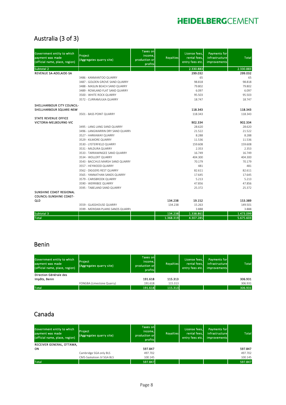### Australia (3 of 3)

| Government entity to which<br>payment was made<br>(official name, place, region) | Project<br>(Aggregates quarry site) | <b>Taxes on</b><br>income.<br>production or<br>profits | <b>Royalties</b> | License fees.<br>rental fees,<br>entry fees etc. | <b>Payments for</b><br>infrastructure<br>improvements | <b>Total</b> |
|----------------------------------------------------------------------------------|-------------------------------------|--------------------------------------------------------|------------------|--------------------------------------------------|-------------------------------------------------------|--------------|
| Subtotal 2                                                                       |                                     |                                                        |                  | 2.330.883                                        |                                                       | 2.330.883    |
| <b>REVENUE SA-ADELAIDE-SA</b>                                                    |                                     |                                                        |                  | 299.032                                          |                                                       | 299.032      |
|                                                                                  | 3486 - KANMANTOO QUARRY             |                                                        |                  | 65                                               |                                                       | 65           |
|                                                                                  | 3487 - GOLDEN GROVE SAND QUARRY     |                                                        |                  | 98.818                                           |                                                       | 98.818       |
|                                                                                  | 3488 - MASLIN BEACH SAND QUARRY     |                                                        |                  | 79.802                                           |                                                       | 79.802       |
|                                                                                  | 3489 - ROWLAND FLAT SAND QUARRY     |                                                        |                  | 6.097                                            |                                                       | 6.097        |
|                                                                                  | 3500 - WHITE ROCK QUARRY            |                                                        |                  | 95.503                                           |                                                       | 95.503       |
|                                                                                  | 3572 - CURRAMULKA QUARRY            |                                                        |                  | 18.747                                           |                                                       | 18.747       |
| SHELLHARBOUR CITY COUNCIL-                                                       |                                     |                                                        |                  |                                                  |                                                       |              |
| SHELLHARBOUR SQUARE-NSW                                                          |                                     |                                                        |                  | 118.343                                          |                                                       | 118.343      |
|                                                                                  | 3501 - BASS POINT QUARRY            |                                                        |                  | 118.343                                          |                                                       | 118.343      |
| <b>STATE REVENUE OFFICE</b>                                                      |                                     |                                                        |                  |                                                  |                                                       |              |
| VICTORIA-MELBOURNE-VIC                                                           |                                     |                                                        |                  | 902.334                                          |                                                       | 902.334      |
|                                                                                  | 3495 - LANG LANG SAND QUARRY        |                                                        |                  | 28.620                                           |                                                       | 28.620       |
|                                                                                  | 3496 - LANGWARRIN DRY SAND QUARRY   |                                                        |                  | 21.522                                           |                                                       | 21.522       |
|                                                                                  | 3527 - HARKAWAY QUARRY              |                                                        |                  | 8.288                                            |                                                       | 8.288        |
|                                                                                  | 3529 - KILMORE QUARRY               |                                                        |                  | 11.536                                           |                                                       | 11.536       |
|                                                                                  | 3530 - LYSTERFIELD QUARRY           |                                                        |                  | 159.608                                          |                                                       | 159.608      |
|                                                                                  | 3531 - MILDURA QUARRY               |                                                        |                  | 2.353                                            |                                                       | 2.353        |
|                                                                                  | 3533 - TARRAWINGEE SAND QUARRY      |                                                        |                  | 16.749                                           |                                                       | 16.749       |
|                                                                                  | 3534 - WOLLERT QUARRY               |                                                        |                  | 404.300                                          |                                                       | 404.300      |
|                                                                                  | 3543 - BACCHUS MARSH SAND QUARRY    |                                                        |                  | 70.179                                           |                                                       | 70.179       |
|                                                                                  | 3557 - HEYWOOD QUARRY               |                                                        |                  | 481                                              |                                                       | 481          |
|                                                                                  | 3562 - DIGGERS REST QUARRY          |                                                        |                  | 82.611                                           |                                                       | 82.611       |
|                                                                                  | 3565 - YANNATHAN SANDS QUARRY       |                                                        |                  | 17.645                                           |                                                       | 17.645       |
|                                                                                  | 3579 - CARISBROOK QUARRY            |                                                        |                  | 5.213                                            |                                                       | 5.213        |
|                                                                                  | 3590 - WERRIBEE QUARRY              |                                                        |                  | 47.856                                           |                                                       | 47.856       |
|                                                                                  | 3595 - TABELAND SAND QUARRY         |                                                        |                  | 25.372                                           |                                                       | 25.372       |
| SUNSHINE COAST REGIONAL<br><b>COUNCIL-SUNSHINE COAST-</b>                        |                                     |                                                        |                  |                                                  |                                                       |              |
| QLD                                                                              |                                     |                                                        | 134.238          | 19.152                                           |                                                       | 153.389      |
|                                                                                  | 3559 - GLASSHOUSE QUARRY            |                                                        | 134.238          | 15.263                                           |                                                       | 149.501      |
|                                                                                  | 3599 - MERIDAN PLAINS SANDS QUARRY  |                                                        |                  | 3.888                                            |                                                       | 3.888        |
| Subtotal 3                                                                       |                                     |                                                        | 134.238          | 1.338.861                                        |                                                       | 1.473.099    |
| <b>Total</b>                                                                     |                                     |                                                        | 1.368.319        | 4.307.285                                        |                                                       | 5.675.603    |

### Benin

| Government entity to which<br>payment was made<br>(official name, place, region) | Project<br>(Aggregates quarry site) | <b>Taxes onl</b><br>income,<br>production or<br>profits | Royalties | License fees,<br>rental fees,<br>entry fees etc. | Payments for<br>infrastructure<br>improvements | <b>Total</b> |
|----------------------------------------------------------------------------------|-------------------------------------|---------------------------------------------------------|-----------|--------------------------------------------------|------------------------------------------------|--------------|
| Direction Générale des                                                           |                                     |                                                         |           |                                                  |                                                |              |
| Impôts, Benin                                                                    |                                     | 191.618                                                 | 115.313   |                                                  |                                                | 306.931      |
|                                                                                  | FONGBA (Limestone Quarry)           | 191.618                                                 | 115.313   |                                                  |                                                | 306.931      |
| <b>Total</b>                                                                     |                                     | 191.618                                                 | 115.313   |                                                  |                                                | 306.931      |

### Canada

| Government entity to which<br>payment was made<br>(official name, place, region) | Project<br>(Aggregates quarry site) | Taxes on<br>income.<br>production or<br>profits | <b>Royalties</b> | License fees,<br>rental fees,<br>entry fees etc. | <b>Payments for</b><br>infrastructure<br><i>improvements</i> | <b>Total</b> |
|----------------------------------------------------------------------------------|-------------------------------------|-------------------------------------------------|------------------|--------------------------------------------------|--------------------------------------------------------------|--------------|
| RECEIVER GENERAL, OTTAWA,                                                        |                                     |                                                 |                  |                                                  |                                                              |              |
| ON                                                                               |                                     | 597.847                                         |                  |                                                  |                                                              | 597.847      |
|                                                                                  | Cambridge SGA only BLS              | 497.702                                         |                  |                                                  |                                                              | 497.702      |
|                                                                                  | CMS-Saskatoon JV SGA BLS            | 100.145                                         |                  |                                                  |                                                              | 100.145      |
| <b>Total</b>                                                                     |                                     | 597.847                                         |                  |                                                  |                                                              | 597.847      |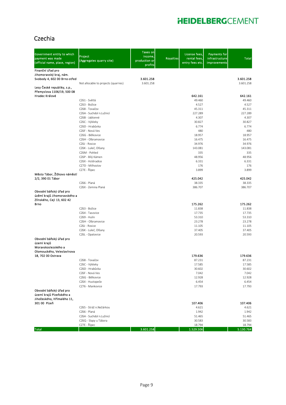### Czechia

| Government entity to which<br>payment was made<br>(official name, place, region)            | Project<br>(Aggregates quarry site)         | <b>Taxes on</b><br>income,<br>production or<br>profits | <b>Royalties</b> | License fees,<br>rental fees,<br>entry fees etc. | <b>Payments for</b><br>infrastructure<br>improvements | <b>Total</b>        |
|---------------------------------------------------------------------------------------------|---------------------------------------------|--------------------------------------------------------|------------------|--------------------------------------------------|-------------------------------------------------------|---------------------|
| Finanční úřad pro                                                                           |                                             |                                                        |                  |                                                  |                                                       |                     |
| Jihomoravský kraj, nám.<br>Svobody 4, 602 00 Brno-střed                                     |                                             | 3.601.258                                              |                  |                                                  |                                                       | 3.601.258           |
|                                                                                             | Not allocable to projects (quarries)        | 3.601.258                                              |                  |                                                  |                                                       | 3.601.258           |
| Lesy České republiky, s.p.,<br>Přemyslova 1106/19, 500 08<br>Hradec Králové                 |                                             |                                                        |                  |                                                  |                                                       |                     |
|                                                                                             | CZ61 - Světlá                               |                                                        |                  | 642.161<br>49.460                                |                                                       | 642.161<br>49.460   |
|                                                                                             | CZ63 - Božice                               |                                                        |                  | 4.527                                            |                                                       | 4.527               |
|                                                                                             | CZ68 - Tovačov                              |                                                        |                  | 45.311                                           |                                                       | 45.311              |
|                                                                                             | CZ6A - Suchdol n.Lužnicí<br>CZ6B - Jablonné |                                                        |                  | 227.289<br>4.307                                 |                                                       | 227.289<br>4.307    |
|                                                                                             | CZ6C - Výkleky                              |                                                        |                  | 30.827                                           |                                                       | 30.827              |
|                                                                                             | CZ6D - Hrabůvka                             |                                                        |                  | 6.774                                            |                                                       | 6.774               |
|                                                                                             | CZ6F - Nová Ves                             |                                                        |                  | 480                                              |                                                       | 480                 |
|                                                                                             | CZ6G - Bělkovice<br>CZ6H - Olbramovice      |                                                        |                  | 18.957                                           |                                                       | 18.957              |
|                                                                                             | CZ6J - Rosice                               |                                                        |                  | 16.475<br>34.976                                 |                                                       | 16.475<br>34.976    |
|                                                                                             | CZ6K - Luleč, Olšany                        |                                                        |                  | 143.081                                          |                                                       | 143.081             |
|                                                                                             | CZ6M - Pohled                               |                                                        |                  | 335                                              |                                                       | 335                 |
|                                                                                             | CZ6P - Bílý Kámen                           |                                                        |                  | 48.956                                           |                                                       | 48.956              |
|                                                                                             | CZ6X - Hstěradice<br>CZ7D - Milhostov       |                                                        |                  | 6.331<br>176                                     |                                                       | 6.331<br>176        |
|                                                                                             | CZ7E - Řípec                                |                                                        |                  | 3.899                                            |                                                       | 3.899               |
| Město Tábor, Žižkovo náměstí<br>2/2, 390 01 Tábor                                           |                                             |                                                        |                  | 425.042                                          |                                                       | 425.042             |
|                                                                                             | CZ66 - Planá                                |                                                        |                  | 38.335                                           |                                                       | 38.335              |
| Obvodní báňský úřad pro<br>úzěmí krajů Jihomoravského a<br>Zlínského, Cejl 13, 602 42       | CZ6X - Zemina Planá                         |                                                        |                  | 386.707                                          |                                                       | 386.707             |
| Brno                                                                                        | CZ63 - Božice                               |                                                        |                  | 175.262<br>11.838                                |                                                       | 175.262<br>11.838   |
|                                                                                             | CZ64 - Tasovice                             |                                                        |                  | 17.735                                           |                                                       | 17.735              |
|                                                                                             | CZ69 - Hulín                                |                                                        |                  | 53.310                                           |                                                       | 53.310              |
|                                                                                             | CZ6H - Olbramovice                          |                                                        |                  | 23.278                                           |                                                       | 23.278              |
|                                                                                             | CZ6J - Rosice<br>CZ6K - Luleč, Olšany       |                                                        |                  | 11.105<br>37.405                                 |                                                       | 11.105<br>37.405    |
|                                                                                             | CZ6L - Opatovice                            |                                                        |                  | 20.593                                           |                                                       | 20.593              |
| Obvodní báňský úřad pro<br>území krajů<br>Moravskoslezského a<br>Olomouckého, Veleslavínova |                                             |                                                        |                  |                                                  |                                                       |                     |
| 18, 702 00 Ostrava                                                                          |                                             |                                                        |                  | 179.636                                          |                                                       | 179.636             |
|                                                                                             | CZ68 - Tovačov                              |                                                        |                  | 87.231                                           |                                                       | 87.231              |
|                                                                                             | CZ6C - Výkleky                              |                                                        |                  | 17.585                                           |                                                       | 17.585              |
|                                                                                             | CZ6D - Hrabůvka<br>CZ6F - Nová Ves          |                                                        |                  | 30.602<br>7.042                                  |                                                       | 30.602<br>7.042     |
|                                                                                             | CZ6G - Bělkovice                            |                                                        |                  | 12.928                                           |                                                       | 12.928              |
|                                                                                             | CZ6X - Hustopeče                            |                                                        |                  | 6.454                                            |                                                       | 6.454               |
| Obvodní báňský úřad pro<br>území krajů Plzeňského a<br>Jihočeského, Hřímalého 11,           | CZ76 - Mankovice                            |                                                        |                  | 17.793                                           |                                                       | 17.793              |
| 301 00 Plzeň                                                                                | CZ65 - Stráž n.Nežárkou                     |                                                        |                  | 107.406<br>4.621                                 |                                                       | 107.406<br>4.621    |
|                                                                                             | CZ66 - Planá                                |                                                        |                  | 1.942                                            |                                                       | 1.942               |
|                                                                                             | CZ6A - Suchdol n.Lužnicí                    |                                                        |                  | 51.465                                           |                                                       | 51.465              |
|                                                                                             | CZ6Q - Slapy u Tábora                       |                                                        |                  | 30.583                                           |                                                       | 30.583              |
| <b>Total</b>                                                                                | CZ7E - Řípec                                | 3.601.258                                              |                  | 18.794<br>1.529.506                              |                                                       | 18.794<br>5.130.764 |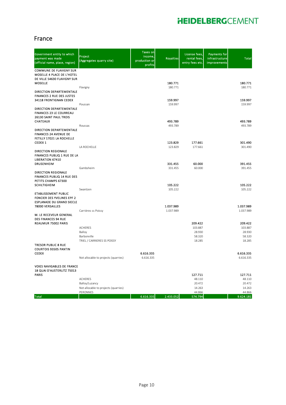#### France

| Government entity to which<br>payment was made<br>(official name, place, region)                               | Project<br>(Aggregates quarry site)        | Taxes on<br>income,<br>production or<br>profits | <b>Royalties</b>       | License fees,<br>rental fees,<br>entry fees etc. | <b>Payments for</b><br>infrastructure<br>improvements | <b>Total</b>           |
|----------------------------------------------------------------------------------------------------------------|--------------------------------------------|-------------------------------------------------|------------------------|--------------------------------------------------|-------------------------------------------------------|------------------------|
| <b>COMMUNE DE FLAVIGNY SUR</b><br>MOSELLE 4 PLACE DE L'HOTEL<br>DE VILLE 54630 FLAVIGNY SUR                    |                                            |                                                 |                        |                                                  |                                                       |                        |
| <b>MOSELLE</b>                                                                                                 |                                            |                                                 | 180.771                |                                                  |                                                       | 180.771                |
| DIRECTION DEPARTEMENTALE<br><b>FINANCES 2 RUE DES JUSTES</b>                                                   | Flavigny                                   |                                                 | 180.771                |                                                  |                                                       | 180.771                |
| 34118 FRONTIGNAN CEDEX                                                                                         | Poussan                                    |                                                 | 159.997<br>159.997     |                                                  |                                                       | 159.997<br>159.997     |
| DIRECTION DEPARTEMENTALE<br><b>FINANCES 23 LE COURREAU</b><br><b>26130 SAINT PAUL TROIS</b><br><b>CHATEAUX</b> |                                            |                                                 | 493.789                |                                                  |                                                       | 493.789                |
|                                                                                                                | Roussas                                    |                                                 | 493.789                |                                                  |                                                       | 493.789                |
| DIRECTION DEPARTEMENTALE<br><b>FINANCES 24 AVENUE DE</b><br>FETILLY 17021 LA ROCHELLE                          |                                            |                                                 |                        |                                                  |                                                       |                        |
| CEDEX <sub>1</sub>                                                                                             |                                            |                                                 | 123.829                | 177.661                                          |                                                       | 301.490                |
| DIRECTION REGIONALE<br>FINANCES PUBLIQ 1 RUE DE LA<br><b>LIBERATION 67410</b>                                  | LA ROCHELLE                                |                                                 | 123.829                | 177.661                                          |                                                       | 301.490                |
| <b>DRUSENHEIM</b>                                                                                              | Gambsheim                                  |                                                 | 331.455<br>331.455     | 60.000<br>60.000                                 |                                                       | 391.455<br>391.455     |
| <b>DIRECTION REGIONALE</b><br><b>FINANCES PUBLIQ 14 RUE DES</b><br>PETITS CHAMPS 67300                         |                                            |                                                 |                        |                                                  |                                                       |                        |
| <b>SCHILTIGHEIM</b>                                                                                            |                                            |                                                 | 105.222                |                                                  |                                                       | 105.222                |
| ETABLISSEMENT PUBLIC<br><b>FONCIER DES YVELINES EPF 2</b><br><b>ESPLANADE DU GRAND SIECLE</b>                  | Swantzen                                   |                                                 | 105.222                |                                                  |                                                       | 105.222                |
| 78000 VERSAILLES                                                                                               | Carrières ss Poissy                        |                                                 | 1.037.989<br>1.037.989 |                                                  |                                                       | 1.037.989<br>1.037.989 |
| M. LE RECEVEUR GENERAL<br><b>DES FINANCES 94 RUE</b>                                                           |                                            |                                                 |                        |                                                  |                                                       |                        |
| REAUMUR 75002 PARIS                                                                                            | ACHERES                                    |                                                 |                        | 209.422<br>103.887                               |                                                       | 209.422<br>103.887     |
|                                                                                                                | Balloy                                     |                                                 |                        | 28.930                                           |                                                       | 28.930                 |
|                                                                                                                | Barbonville<br>TRIEL / CARRIERES SS POISSY |                                                 |                        | 58.320<br>18.285                                 |                                                       | 58.320<br>18.285       |
| <b>TRESOR PUBLIC 8 RUE</b><br><b>COURTOIS 93505 PANTIN</b>                                                     |                                            |                                                 |                        |                                                  |                                                       |                        |
| <b>CEDEX</b>                                                                                                   | Not allocable to projects (quarries)       | 6.616.335<br>6.616.335                          |                        |                                                  |                                                       | 6.616.335<br>6.616.335 |
| <b>VOIES NAVIGABLES DE FRANCE</b><br>18 QUAI D'AUSTERLITZ 75013                                                |                                            |                                                 |                        |                                                  |                                                       |                        |
| <b>PARIS</b>                                                                                                   |                                            |                                                 |                        | 127.711                                          |                                                       | 127.711                |
|                                                                                                                | ACHERES<br>Balloy/Luzancy                  |                                                 |                        | 48.110<br>20.472                                 |                                                       | 48.110<br>20.472       |
|                                                                                                                | Not allocable to projects (quarries)       |                                                 |                        | 14.263                                           |                                                       | 14.263                 |
| <b>Total</b>                                                                                                   | PERONNES                                   | 6.616.335                                       | 2.433.052              | 44.866<br>574.794                                |                                                       | 44.866<br>9.624.181    |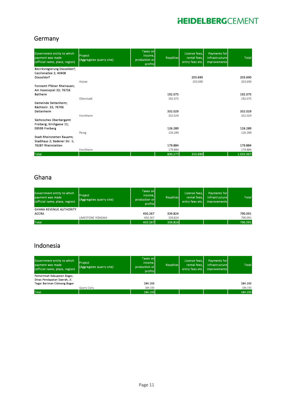#### Germany

| Government entity to which<br>payment was made<br>(official name, place, region) | <b>Project</b><br>(Aggregates quarry site) | <b>Taxes on</b><br>income.<br>production or<br>profits | <b>Royalties</b> | License fees.<br>rental fees,<br>entry fees etc. | Payments for<br>infrastructure<br><b>improvements</b> | <b>Total</b> |
|----------------------------------------------------------------------------------|--------------------------------------------|--------------------------------------------------------|------------------|--------------------------------------------------|-------------------------------------------------------|--------------|
| Bezirksregierung Düsseldorf;<br>Cecilienallee 2; 40408                           |                                            |                                                        |                  |                                                  |                                                       |              |
| Düsseldorf                                                                       |                                            |                                                        |                  | 203.690                                          |                                                       | 203.690      |
|                                                                                  | Hünxe                                      |                                                        |                  | 203.690                                          |                                                       | 203.690      |
| Forstamt Pfälzer Rheinauen:<br>Am Hasenspiel 33; 76756                           |                                            |                                                        |                  |                                                  |                                                       |              |
| <b>Bellheim</b>                                                                  |                                            |                                                        | 192.075          |                                                  |                                                       | 192.075      |
|                                                                                  | Otterstadt                                 |                                                        | 192.075          |                                                  |                                                       | 192.075      |
| Gemeinde Dettenheim:<br>Bächlestr. 33; 76706                                     |                                            |                                                        |                  |                                                  |                                                       |              |
| Dettenheim                                                                       |                                            |                                                        | 332.029          |                                                  |                                                       | 332.029      |
|                                                                                  | Forchheim                                  |                                                        | 332.029          |                                                  |                                                       | 332.029      |
| Sächsisches Oberbergamt<br>Freiberg; Kirchgasse 11;                              |                                            |                                                        |                  |                                                  |                                                       |              |
| 09599 Freiberg                                                                   |                                            |                                                        | 126.289          |                                                  |                                                       | 126.289      |
|                                                                                  | Penig                                      |                                                        | 126.289          |                                                  |                                                       | 126.289      |
| <b>Stadt Rheinstetten Bauamt;</b><br>Stadthaus 2; Badener Str. 1;                |                                            |                                                        |                  |                                                  |                                                       |              |
| 76287 Rheinstetten                                                               |                                            |                                                        | 179.884          |                                                  |                                                       | 179.884      |
|                                                                                  | Forchheim                                  |                                                        | 179.884          |                                                  |                                                       | 179.884      |
| <b>Total</b>                                                                     |                                            |                                                        | 830.277          | 203.690                                          |                                                       | 1.033.967    |

### Ghana

| Government entity to which<br>payment was made<br>(official name, place, region) | Project<br>(Aggregates quarry site) | Taxes on<br>income.<br>production or<br>profits | <b>Royalties</b> | License fees,<br>rental fees,<br>entry fees etc. | Payments for<br>infrastructure<br>improvements | <b>Total</b> |
|----------------------------------------------------------------------------------|-------------------------------------|-------------------------------------------------|------------------|--------------------------------------------------|------------------------------------------------|--------------|
| <b>GHANA REVENUE AUTHORITY</b>                                                   |                                     |                                                 |                  |                                                  |                                                |              |
| <b>ACCRA</b>                                                                     |                                     | 450.267                                         | 339.824          |                                                  |                                                | 790.091      |
|                                                                                  | LIMESTONE YONGWA                    | 450.267                                         | 339.824          |                                                  |                                                | 790.091      |
| <b>Total</b>                                                                     |                                     | 450.267                                         | 339,824          |                                                  |                                                | 790.091      |

### Indonesia

| Government entity to which<br>payment was made<br>(official name, place, region) | Project<br>(Aggregates quarry site) | <b>Taxes onl</b><br>income.<br>production or<br>profits | Rovalties | License fees,<br>rental fees.<br>entry fees etc. | <b>Payments for</b><br>infrastructure<br>improvements | <b>Total</b> |
|----------------------------------------------------------------------------------|-------------------------------------|---------------------------------------------------------|-----------|--------------------------------------------------|-------------------------------------------------------|--------------|
| Pemerintah Kabupaten Bogor,<br>Dinas Pendapatan Daerah, Jl.                      |                                     |                                                         |           |                                                  |                                                       |              |
| <b>Tegar Beriman Cibinong Bogor</b>                                              |                                     | 184.193                                                 |           |                                                  |                                                       | 184.193      |
|                                                                                  | Quarry Cariu                        | 184.193                                                 |           |                                                  |                                                       | 184.193      |
| <b>Total</b>                                                                     |                                     | 184.193                                                 |           |                                                  |                                                       | 184.193      |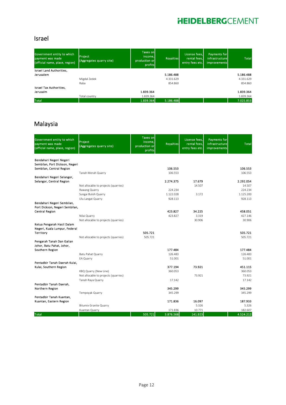### Israel

| Government entity to which<br>payment was made<br>(official name, place, region) | <b>Project</b><br>(Aggregates quarry site) | Taxes on<br>income.<br>production or<br>profits | <b>Rovalties</b> | License fees,<br>rental fees,<br>entry fees etc. | Payments for<br>infrastructure<br>improvements | <b>Total</b> |
|----------------------------------------------------------------------------------|--------------------------------------------|-------------------------------------------------|------------------|--------------------------------------------------|------------------------------------------------|--------------|
| Israel Land Authorities,                                                         |                                            |                                                 |                  |                                                  |                                                |              |
| Jerusalem                                                                        |                                            |                                                 | 5.186.488        |                                                  |                                                | 5.186.488    |
|                                                                                  | Migdal Zedek                               |                                                 | 4.331.629        |                                                  |                                                | 4.331.629    |
|                                                                                  | Raba                                       |                                                 | 854.860          |                                                  |                                                | 854.860      |
| Israel Tax Authorities,                                                          |                                            |                                                 |                  |                                                  |                                                |              |
| Jerusalm                                                                         |                                            | 1.839.364                                       |                  |                                                  |                                                | 1.839.364    |
|                                                                                  | Total country                              | 1.839.364                                       |                  |                                                  |                                                | 1.839.364    |
| <b>Total</b>                                                                     |                                            | 1.839.364                                       | 5.186.488        |                                                  |                                                | 7.025.853    |

### Malaysia

| Government entity to which<br>payment was made<br>(official name, place, region) | Project<br>(Aggregates quarry site)  | <b>Taxes on</b><br>income,<br>production or<br>profits | <b>Royalties</b> | License fees,<br>rental fees,<br>entry fees etc. | <b>Payments for</b><br>infrastructure<br>improvements | <b>Total</b>        |
|----------------------------------------------------------------------------------|--------------------------------------|--------------------------------------------------------|------------------|--------------------------------------------------|-------------------------------------------------------|---------------------|
| Bendahari Negeri Negeri                                                          |                                      |                                                        |                  |                                                  |                                                       |                     |
| Sembilan, Port Dickson, Negeri                                                   |                                      |                                                        |                  |                                                  |                                                       |                     |
| Sembilan, Central Region                                                         |                                      |                                                        | 106.553          |                                                  |                                                       | 106.553             |
|                                                                                  | Tanah Merah Quarry                   |                                                        | 106.553          |                                                  |                                                       | 106.553             |
| Bendahari Negeri Selangor,                                                       |                                      |                                                        | 2.274.375        |                                                  |                                                       |                     |
| Selangor, Central Region                                                         | Not allocable to projects (quarries) |                                                        |                  | 17.679<br>14.507                                 |                                                       | 2.292.054<br>14.507 |
|                                                                                  | Rawang Quarry                        |                                                        | 224.234          |                                                  |                                                       | 224.234             |
|                                                                                  | Sungai Buloh Quarry                  |                                                        | 1.122.028        | 3.172                                            |                                                       | 1.125.200           |
|                                                                                  | Ulu Langat Quarry                    |                                                        | 928.113          |                                                  |                                                       | 928.113             |
| Bendahari Negeri Sembilan,                                                       |                                      |                                                        |                  |                                                  |                                                       |                     |
| Port Dickson, Negeri Sembilan,                                                   |                                      |                                                        |                  |                                                  |                                                       |                     |
| <b>Central Region</b>                                                            |                                      |                                                        | 423.827          | 34.225                                           |                                                       | 458.051             |
|                                                                                  | Nilai Quarry                         |                                                        | 423.827          | 3.319                                            |                                                       | 427.146             |
|                                                                                  | Not allocable to projects (quarries) |                                                        |                  | 30.906                                           |                                                       | 30.906              |
| Ketua Pengarah Hasil Dalam                                                       |                                      |                                                        |                  |                                                  |                                                       |                     |
| Negeri, Kuala Lumpur, Federal                                                    |                                      |                                                        |                  |                                                  |                                                       |                     |
| Territory                                                                        |                                      | 505.721                                                |                  |                                                  |                                                       | 505.721             |
| Pengarah Tanah Dan Galian                                                        | Not allocable to projects (quarries) | 505.721                                                |                  |                                                  |                                                       | 505.721             |
| Johor, Batu Pahat, Johor,                                                        |                                      |                                                        |                  |                                                  |                                                       |                     |
| Southern Region                                                                  |                                      |                                                        | 177.484          |                                                  |                                                       | 177.484             |
|                                                                                  | Batu Pahat Quarry                    |                                                        | 126.483          |                                                  |                                                       | 126.483             |
|                                                                                  | EA Quarry                            |                                                        | 51.001           |                                                  |                                                       | 51.001              |
| Pentadbir Tanah Daerah Kulai,                                                    |                                      |                                                        |                  |                                                  |                                                       |                     |
| Kulai, Southern Region                                                           |                                      |                                                        | 377.194          | 73.921                                           |                                                       | 451.115             |
|                                                                                  | KBQ Quarry (New Line)                |                                                        | 360.053          |                                                  |                                                       | 360.053             |
|                                                                                  | Not allocable to projects (quarries) |                                                        |                  | 73.921                                           |                                                       | 73.921              |
|                                                                                  | Tanah Raya Quarry                    |                                                        | 17.142           |                                                  |                                                       | 17.142              |
| Pentadbir Tanah Daerah.                                                          |                                      |                                                        |                  |                                                  |                                                       |                     |
| Northern Region                                                                  |                                      |                                                        | 345.299          |                                                  |                                                       | 345.299             |
|                                                                                  | Tempoyak Quarry                      |                                                        | 345.299          |                                                  |                                                       | 345.299             |
| Pentadbir Tanah Kuantan,<br>Kuantan, Eastern Region                              |                                      |                                                        | 171.836          | 16.097                                           |                                                       | 187.933             |
|                                                                                  | <b>Bitumix Granite Quarry</b>        |                                                        |                  | 5.326                                            |                                                       | 5.326               |
|                                                                                  | Kuantan Quarry                       |                                                        | 171.836          | 10.771                                           |                                                       | 182.607             |
| <b>Total</b>                                                                     |                                      | 505.721                                                | 3.876.568        | 141.923                                          |                                                       | 4.524.212           |
|                                                                                  |                                      |                                                        |                  |                                                  |                                                       |                     |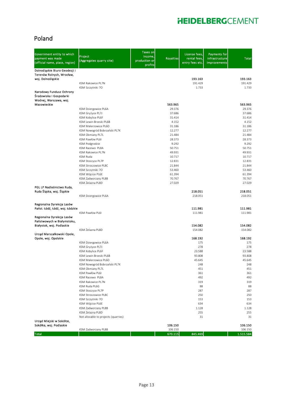### Poland

| Government entity to which<br>payment was made<br>(official name, place, region) | Project<br>(Aggregates quarry site)                  | <b>Taxes on</b><br>income,<br>production or<br>profits | <b>Royalties</b>  | License fees,<br>rental fees,<br>entry fees etc. | <b>Payments for</b><br>infrastructure<br>improvements | <b>Total</b>       |
|----------------------------------------------------------------------------------|------------------------------------------------------|--------------------------------------------------------|-------------------|--------------------------------------------------|-------------------------------------------------------|--------------------|
| Dolnośląskie Biuro Geodezji i<br>Terenów Rolnych, Wrocław,                       |                                                      |                                                        |                   |                                                  |                                                       |                    |
| woj. Dolnoślaskie                                                                | KSM Rakowice PL7N                                    |                                                        |                   | 193.163<br>191.429                               |                                                       | 193.163<br>191.429 |
|                                                                                  | KSM Szczytniki 70                                    |                                                        |                   | 1.733                                            |                                                       | 1.733              |
| Narodowy Fundusz Ochrony<br>Środowiska i Gospodarki<br>Wodnej, Warszawa, woj.    |                                                      |                                                        |                   |                                                  |                                                       |                    |
| Mazowieckie                                                                      | KSM Dziergowice PL6A                                 |                                                        | 563.965<br>29.376 |                                                  |                                                       | 563.965<br>29.376  |
|                                                                                  | KSM Gryżyce PL7J                                     |                                                        | 37.686            |                                                  |                                                       | 37.686             |
|                                                                                  | KSM Kobylice PL6F                                    |                                                        | 31.414            |                                                  |                                                       | 31.414             |
|                                                                                  | KSM Lewin Brzeski PL6B                               |                                                        | 4.152             |                                                  |                                                       | 4.152              |
|                                                                                  | KSM Malerzowice PL6D                                 |                                                        | 31.186            |                                                  |                                                       | 31.186             |
|                                                                                  | KSM Nowogród Bobrzański PL7K<br>KSM Okmiany PL7L     |                                                        | 12.277<br>21.484  |                                                  |                                                       | 12.277<br>21.484   |
|                                                                                  | KSM Pawłów PL6I                                      |                                                        | 28.373            |                                                  |                                                       | 28.373             |
|                                                                                  | KSM Podgrodzie                                       |                                                        | 9.292             |                                                  |                                                       | 9.292              |
|                                                                                  | KSM Racewo PL8A                                      |                                                        | 50.751            |                                                  |                                                       | 50.751             |
|                                                                                  | KSM Rakowice PL7N                                    |                                                        | 49.931            |                                                  |                                                       | 49.931             |
|                                                                                  | KSM Ruda                                             |                                                        | 10.717            |                                                  |                                                       | 10.717             |
|                                                                                  | KSM Stoszyce PL7P                                    |                                                        | 12.831<br>21.844  |                                                  |                                                       | 12.831<br>21.844   |
|                                                                                  | KSM Stroszowice PL8C<br>KSM Szczytniki 70            |                                                        | 53.460            |                                                  |                                                       | 53.460             |
|                                                                                  | KSM Wójcice PL6E                                     |                                                        | 61.394            |                                                  |                                                       | 61.394             |
|                                                                                  | KSM Zadworzany PL8B                                  |                                                        | 70.767            |                                                  |                                                       | 70.767             |
|                                                                                  | KSM Żelazna PL8D                                     |                                                        | 27.029            |                                                  |                                                       | 27.029             |
| PGL LP Nadleśnictwo Ruda,                                                        |                                                      |                                                        |                   |                                                  |                                                       |                    |
| Ruda Śląska, woj. Śląskie                                                        | KSM Dziergowice PL6A                                 |                                                        |                   | 218.051<br>218.051                               |                                                       | 218.051<br>218.051 |
|                                                                                  |                                                      |                                                        |                   |                                                  |                                                       |                    |
| Regionalna Dyrekcja Lasów<br>Państ. Łódź, Łódź, woj. Łódzkie                     |                                                      |                                                        |                   | 111.981                                          |                                                       | 111.981            |
| Regionalna Dyrekcja Lasów<br>Państwowych w Białymstoku,                          | KSM Pawłów PL6I                                      |                                                        |                   | 111.981                                          |                                                       | 111.981            |
| Białystok, woj. Podlaskie                                                        |                                                      |                                                        |                   | 154.082                                          |                                                       | 154.082            |
|                                                                                  | KSM Żelazna PL8D                                     |                                                        |                   | 154.082                                          |                                                       | 154.082            |
| Urząd Marszałkowski Opole,<br>Opole, woj. Opolskie                               |                                                      |                                                        |                   | 168.192                                          |                                                       | 168.192            |
|                                                                                  | KSM Dziergowice PL6A                                 |                                                        |                   | 175                                              |                                                       | 175                |
|                                                                                  | KSM Gryżyce PL7J                                     |                                                        |                   | 278                                              |                                                       | 278                |
|                                                                                  | KSM Kobylice PL6F                                    |                                                        |                   | 23.588                                           |                                                       | 23.588             |
|                                                                                  | KSM Lewin Brzeski PL6B                               |                                                        |                   | 93.808                                           |                                                       | 93.808             |
|                                                                                  | KSM Malerzowice PL6D<br>KSM Nowogród Bobrzański PL7K |                                                        |                   | 45.645<br>248                                    |                                                       | 45.645<br>248      |
|                                                                                  | KSM Okmiany PL7L                                     |                                                        |                   | 451                                              |                                                       | 451                |
|                                                                                  | KSM Pawłów PL6I                                      |                                                        |                   | 361                                              |                                                       | 361                |
|                                                                                  | KSM Racewo PL8A                                      |                                                        |                   | 492                                              |                                                       | 492                |
|                                                                                  | KSM Rakowice PL7N                                    |                                                        |                   | 319                                              |                                                       | 319                |
|                                                                                  | KSM Ruda PL6G                                        |                                                        |                   | 88                                               |                                                       | 88                 |
|                                                                                  | KSM Stoszyce PL7P<br>KSM Stroszowice PL8C            |                                                        |                   | 287<br>250                                       |                                                       | 287<br>250         |
|                                                                                  | KSM Szczytniki 70                                    |                                                        |                   | 153                                              |                                                       | 153                |
|                                                                                  | KSM Wójcice PL6E                                     |                                                        |                   | 634                                              |                                                       | 634                |
|                                                                                  | KSM Zadworzany PL8B                                  |                                                        |                   | 1.128                                            |                                                       | 1.128              |
|                                                                                  | KSM Żelazna PL8D                                     |                                                        |                   | 255                                              |                                                       | 255                |
| Urząd Miejski w Sokółce,                                                         | Not allocable to projects (quarries)                 |                                                        |                   | 31                                               |                                                       | 31                 |
| Sokółka, woj. Podlaskie                                                          |                                                      |                                                        | 106.150           |                                                  |                                                       | 106.150            |
|                                                                                  | KSM Zadworzany PL8B                                  |                                                        | 106.150           |                                                  |                                                       | 106.150            |
| <b>Total</b>                                                                     |                                                      |                                                        | 670.115           | 845.469                                          |                                                       | 1.515.584          |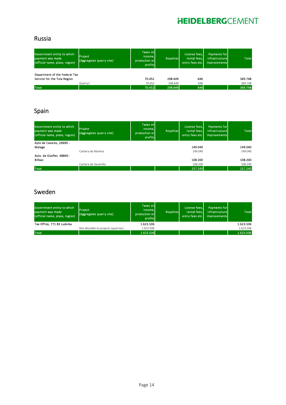### Russia

| Government entity to which<br>payment was made<br>(official name, place, region) | <b>Project</b><br>(Aggregates quarry site) | <b>Taxes onl</b><br>income.<br>production or<br>profits | <b>Royalties</b> | License fees,<br>rental fees.<br>entry fees etc. | <b>Payments for</b><br>infrastructure<br><i>improvements</i> | <b>Total</b> |
|----------------------------------------------------------------------------------|--------------------------------------------|---------------------------------------------------------|------------------|--------------------------------------------------|--------------------------------------------------------------|--------------|
| Department of the Federal Tax<br>Service for the Tula Region                     |                                            |                                                         |                  |                                                  |                                                              | 369.748      |
|                                                                                  |                                            | 70.452                                                  | 298.649          | 646                                              |                                                              |              |
|                                                                                  | Quarry1                                    | 70.452                                                  | 298.649          | 646                                              |                                                              | 369.748      |
| <b>Total</b>                                                                     |                                            | 70.452                                                  | 298.649          | 646                                              |                                                              | 369,748      |

### Spain

| Government entity to which<br>payment was made<br>(official name, place, region) | Project<br>(Aggregates quarry site) | <b>Taxes onl</b><br>income.<br>production or<br>profits | <b>Royalties</b> | License fees,<br>rental fees.<br>entry fees etc. | Payments for<br>infrastructure<br>improvements | <b>Total</b> |
|----------------------------------------------------------------------------------|-------------------------------------|---------------------------------------------------------|------------------|--------------------------------------------------|------------------------------------------------|--------------|
| Ayto de Casares, 29690 -                                                         |                                     |                                                         |                  |                                                  |                                                |              |
| Malaga                                                                           |                                     |                                                         |                  | 149.040                                          |                                                | 149.040      |
|                                                                                  | Cantera de Manilva                  |                                                         |                  | 149.040                                          |                                                | 149.040      |
| Ayto. de Güeñes. 48840 -                                                         |                                     |                                                         |                  |                                                  |                                                |              |
| Bilbao                                                                           |                                     |                                                         |                  | 108.200                                          |                                                | 108.200      |
|                                                                                  | Cantera de Zaramillo                |                                                         |                  | 108.200                                          |                                                | 108,200      |
| Total                                                                            |                                     |                                                         |                  | 257.240                                          |                                                | 257.240      |

### Sweden

| Government entity to which<br>payment was made<br>(official name, place, region) | <b>Project</b><br>(Aggregates quarry site) | <b>Taxes onl</b><br>income.<br>production or<br>profits | <b>Rovalties</b> | License fees.<br>rental fees.<br>entry fees etc. | Payments for<br>infrastructurel<br>improvements | <b>Total</b> |
|----------------------------------------------------------------------------------|--------------------------------------------|---------------------------------------------------------|------------------|--------------------------------------------------|-------------------------------------------------|--------------|
| Tax Office, 771 83 Ludvika                                                       |                                            | 1.623.506                                               |                  |                                                  |                                                 | 1.623.506    |
|                                                                                  | Not allocable to projects (quarries)       | 1.623.506                                               |                  |                                                  |                                                 | 1.623.506    |
| <b>Total</b>                                                                     |                                            | 1.623.506                                               |                  |                                                  |                                                 | 1.623.506    |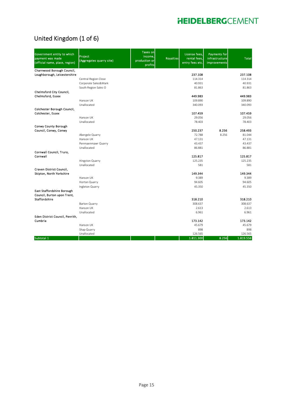### United Kingdom (1 of 6)

| Government entity to which<br>payment was made<br>(official name, place, region) | Project<br>(Aggregates quarry site)          | Taxes on<br>income.<br>production or<br>profits | <b>Royalties</b> | License fees.<br>rental fees,<br>entry fees etc. | <b>Payments for</b><br>infrastructure<br>improvements | <b>Total</b>       |
|----------------------------------------------------------------------------------|----------------------------------------------|-------------------------------------------------|------------------|--------------------------------------------------|-------------------------------------------------------|--------------------|
| Charnwood Borough Council,                                                       |                                              |                                                 |                  |                                                  |                                                       |                    |
| Loughborough, Leicestershire                                                     |                                              |                                                 |                  | 237.108                                          |                                                       | 237.108            |
|                                                                                  | Central Region Close<br>Corporate Sales&Mark |                                                 |                  | 114.314<br>40.931                                |                                                       | 114.314<br>40.931  |
|                                                                                  | South Region Sales O                         |                                                 |                  | 81.863                                           |                                                       | 81.863             |
| Chelmsford City Council,                                                         |                                              |                                                 |                  |                                                  |                                                       |                    |
| Chelmsford, Essex                                                                |                                              |                                                 |                  | 449.983<br>109.890                               |                                                       | 449.983<br>109.890 |
|                                                                                  | Hanson UK<br>Unallocated                     |                                                 |                  | 340.093                                          |                                                       | 340.093            |
| Colchester Borough Council,                                                      |                                              |                                                 |                  |                                                  |                                                       |                    |
| Colchester, Essex                                                                |                                              |                                                 |                  | 107.459                                          |                                                       | 107.459            |
|                                                                                  | Hanson UK                                    |                                                 |                  | 29.056                                           |                                                       | 29.056             |
|                                                                                  | Unallocated                                  |                                                 |                  | 78.403                                           |                                                       | 78.403             |
| Conwy County Borough                                                             |                                              |                                                 |                  |                                                  |                                                       |                    |
| Council, Conwy, Conwy                                                            |                                              |                                                 |                  | 250.237                                          | 8.256                                                 | 258.493            |
|                                                                                  | Abergele Quarry                              |                                                 |                  | 72.788                                           | 8.256                                                 | 81.044             |
|                                                                                  | Hanson UK                                    |                                                 |                  | 47.131                                           |                                                       | 47.131             |
|                                                                                  | Penmaenmawr Quarry                           |                                                 |                  | 43.437                                           |                                                       | 43.437             |
|                                                                                  | Unallocated                                  |                                                 |                  | 86.881                                           |                                                       | 86.881             |
| Cornwall Council, Truro,                                                         |                                              |                                                 |                  |                                                  |                                                       |                    |
| Cornwall                                                                         |                                              |                                                 |                  | 125.817                                          |                                                       | 125.817            |
|                                                                                  | Hingston Quarry<br>Unallocated               |                                                 |                  | 125.235                                          |                                                       | 125.235            |
| Craven District Council,                                                         |                                              |                                                 |                  | 581                                              |                                                       | 581                |
| Skipton, North Yorkshire                                                         |                                              |                                                 |                  | 149.344                                          |                                                       | 149.344            |
|                                                                                  | Hanson UK                                    |                                                 |                  | 9.389                                            |                                                       | 9.389              |
|                                                                                  | Horton Quarry                                |                                                 |                  | 94.605                                           |                                                       | 94.605             |
|                                                                                  | Ingleton Quarry                              |                                                 |                  | 45.350                                           |                                                       | 45.350             |
| East Staffordshire Borough<br>Council, Burton upon Trent,                        |                                              |                                                 |                  |                                                  |                                                       |                    |
| <b>Staffordshire</b>                                                             |                                              |                                                 |                  | 318.210                                          |                                                       | 318.210            |
|                                                                                  | <b>Barton Quarry</b>                         |                                                 |                  | 308.637                                          |                                                       | 308.637            |
|                                                                                  | Hanson UK                                    |                                                 |                  | 2.613                                            |                                                       | 2.613              |
|                                                                                  | Unallocated                                  |                                                 |                  | 6.961                                            |                                                       | 6.961              |
| Eden District Council, Penrith,<br>Cumbria                                       |                                              |                                                 |                  | 173.142                                          |                                                       | 173.142            |
|                                                                                  | Hanson UK                                    |                                                 |                  | 45.679                                           |                                                       | 45.679             |
|                                                                                  | Shap Quarry                                  |                                                 |                  | 898                                              |                                                       | 898                |
|                                                                                  | Unallocated                                  |                                                 |                  | 126.565                                          |                                                       | 126.565            |
| Subtotal 1                                                                       |                                              |                                                 |                  | 1.811.300                                        | 8.256                                                 | 1.819.556          |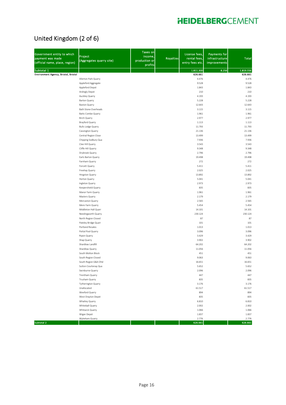### United Kingdom (2 of 6)

| Government entity to which<br>payment was made<br>(official name, place, region) | Project<br>(Aggregates quarry site)                 | <b>Taxes on</b><br>income,<br>production or<br>profits | <b>Royalties</b> | License fees,<br>rental fees,<br>entry fees etc. | Payments for<br>infrastructure<br>improvements | <b>Total</b>   |
|----------------------------------------------------------------------------------|-----------------------------------------------------|--------------------------------------------------------|------------------|--------------------------------------------------|------------------------------------------------|----------------|
| Subtotal 1                                                                       |                                                     |                                                        |                  | 1.811.300                                        | 8.256                                          | 1.819.556      |
| Environment Agency, Bristol, Bristol                                             |                                                     |                                                        |                  | 626.661                                          |                                                | 626.661        |
|                                                                                  | Allerton Park Quarry                                |                                                        |                  | 4.476                                            |                                                | 4.476          |
|                                                                                  | Appleford Aggregate                                 |                                                        |                  | 9.528                                            |                                                | 9.528          |
|                                                                                  | Appleford Depot                                     |                                                        |                  | 1.843                                            |                                                | 1.843          |
|                                                                                  | Ardingly Depot                                      |                                                        |                  | 210                                              |                                                | 210            |
|                                                                                  | Auckley Quarry                                      |                                                        |                  | 4.193                                            |                                                | 4.193          |
|                                                                                  | Barton Quarry                                       |                                                        |                  | 5.228                                            |                                                | 5.228          |
|                                                                                  | <b>Baston Quarry</b><br><b>Bath Stone Overheads</b> |                                                        |                  | 12.643                                           |                                                | 12.643         |
|                                                                                  | Batts Combe Quarry                                  |                                                        |                  | 3.115<br>1.961                                   |                                                | 3.115<br>1.961 |
|                                                                                  | Birch Quarry                                        |                                                        |                  | 2.977                                            |                                                | 2.977          |
|                                                                                  | Brayford Quarry                                     |                                                        |                  | 1.113                                            |                                                | 1.113          |
|                                                                                  | <b>Bulls Lodge Quarry</b>                           |                                                        |                  | 11.793                                           |                                                | 11.793         |
|                                                                                  | Cassington Quarry                                   |                                                        |                  | 21.136                                           |                                                | 21.136         |
|                                                                                  | Central Region Close                                |                                                        |                  | 13.499                                           |                                                | 13.499         |
|                                                                                  | Chipping Sodbury Qua                                |                                                        |                  | 7.936                                            |                                                | 7.936          |
|                                                                                  | Clee Hill Quarry                                    |                                                        |                  | 3.543                                            |                                                | 3.543          |
|                                                                                  | Cliffe Hill Quarry                                  |                                                        |                  | 9.348                                            |                                                | 9.348          |
|                                                                                  | Drybrook Quarry                                     |                                                        |                  | 2.796                                            |                                                | 2.796          |
|                                                                                  | Earls Barton Quarry                                 |                                                        |                  | 19.498                                           |                                                | 19.498         |
|                                                                                  | Farnham Quarry                                      |                                                        |                  | 272                                              |                                                | 272            |
|                                                                                  | Forcett Quarry                                      |                                                        |                  | 5.411                                            |                                                | 5.411          |
|                                                                                  | Freehay Quarry                                      |                                                        |                  | 2.025                                            |                                                | 2.025          |
|                                                                                  | Hingston Quarry                                     |                                                        |                  | 13.892                                           |                                                | 13.892         |
|                                                                                  | Horton Quarry                                       |                                                        |                  | 5.041                                            |                                                | 5.041          |
|                                                                                  | Ingleton Quarry                                     |                                                        |                  | 2.973                                            |                                                | 2.973          |
|                                                                                  | Keepershield Quarry                                 |                                                        |                  | 835                                              |                                                | 835            |
|                                                                                  | Manor Farm Quarry                                   |                                                        |                  | 1.961                                            |                                                | 1.961          |
|                                                                                  | Masters Quarry                                      |                                                        |                  | 2.179                                            |                                                | 2.179          |
|                                                                                  | Mercaston Quarry                                    |                                                        |                  | 2.565                                            |                                                | 2.565          |
|                                                                                  | Mere Farm Quarry                                    |                                                        |                  | 5.454                                            |                                                | 5.454          |
|                                                                                  | Middleton Hall Quarr                                |                                                        |                  | 14.101                                           |                                                | 14.101         |
|                                                                                  | Needingworth Quarry                                 |                                                        |                  | 230.124                                          |                                                | 230.124        |
|                                                                                  | North Region Closed                                 |                                                        |                  | 87                                               |                                                | 87             |
|                                                                                  | Pateley Bridge Quarr                                |                                                        |                  | 101                                              |                                                | 101            |
|                                                                                  | Portland Resales                                    |                                                        |                  | 1.013                                            |                                                | 1.013          |
|                                                                                  | Pottal Pool Quarry                                  |                                                        |                  | 3.096                                            |                                                | 3.096          |
|                                                                                  | Ripon Quarry                                        |                                                        |                  | 3.429                                            |                                                | 3.429          |
|                                                                                  | Shap Quarry                                         |                                                        |                  | 3.902                                            |                                                | 3.902          |
|                                                                                  | Shardlow Landfill                                   |                                                        |                  | 64.202                                           |                                                | 64.202         |
|                                                                                  | Shardlow Quarry                                     |                                                        |                  | 11.056                                           |                                                | 11.056         |
|                                                                                  | South Molton Block                                  |                                                        |                  | 451                                              |                                                | 451            |
|                                                                                  | South Region Closed                                 |                                                        |                  | 9.063                                            |                                                | 9.063          |
|                                                                                  | South Region G&A Ohd                                |                                                        |                  | 16.651                                           |                                                | 16.651         |
|                                                                                  | Sutton Courtenay Qua                                |                                                        |                  | 5.652                                            |                                                | 5.652          |
|                                                                                  | Swinburne Quarry                                    |                                                        |                  | 2.096                                            |                                                | 2.096          |
|                                                                                  | Trentham Quarry                                     |                                                        |                  | 447                                              |                                                | 447            |
|                                                                                  | Trusham Quarry                                      |                                                        |                  | 835                                              |                                                | 835            |
|                                                                                  | Tytherington Quarry                                 |                                                        |                  | 3.176                                            |                                                | 3.176          |
|                                                                                  | Unallocated                                         |                                                        |                  | 61.517                                           |                                                | 61.517         |
|                                                                                  | Weeford Quarry                                      |                                                        |                  | 894                                              |                                                | 894            |
|                                                                                  | West Drayton Depot                                  |                                                        |                  | 835                                              |                                                | 835            |
|                                                                                  | Whatley Quarry                                      |                                                        |                  | 6.810                                            |                                                | 6.810<br>2.002 |
|                                                                                  | Whiteball Quarry<br>Whitwick Quarry                 |                                                        |                  | 2.002<br>1.066                                   |                                                | 1.066          |
|                                                                                  | Wigan Depot                                         |                                                        |                  | 1.837                                            |                                                | 1.837          |
|                                                                                  | Wykeham Quarry                                      |                                                        |                  | 2.776                                            |                                                | 2.776          |
| Subtotal 2                                                                       |                                                     |                                                        |                  | 626.661                                          |                                                | 626.661        |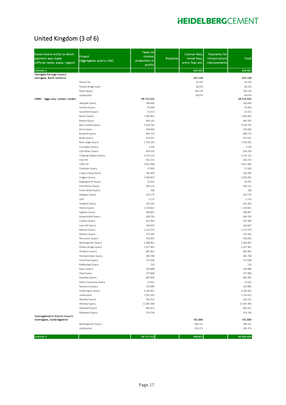### United Kingdom (3 of 6)

| Government entity to which<br>payment was made<br>(official name, place, region) | Project<br>(Aggregates quarry site)  | Taxes on<br>income,<br>production or<br>profits | <b>Royalties</b> | License fees,<br>rental fees,<br>entry fees etc. | <b>Payments for</b><br>infrastructure<br>improvements | <b>Total</b>           |
|----------------------------------------------------------------------------------|--------------------------------------|-------------------------------------------------|------------------|--------------------------------------------------|-------------------------------------------------------|------------------------|
| Subtotal 2                                                                       |                                      |                                                 |                  | 626.661                                          |                                                       | 626.661                |
| Harrogate Borough Council,                                                       |                                      |                                                 |                  |                                                  |                                                       | 247.159                |
| Harrogate, North Yorkshire                                                       | Hanson UK                            |                                                 |                  | 247.159<br>33.550                                |                                                       | 33.550                 |
|                                                                                  | Pateley Bridge Quarr                 |                                                 |                  | 38.418                                           |                                                       | 38.418                 |
|                                                                                  | Ripon Quarry                         |                                                 |                  | 106.118                                          |                                                       | 106.118                |
|                                                                                  | Unallocated                          |                                                 |                  | 69.074                                           |                                                       | 69.074                 |
| HMRC - Aggs Levy, London, London                                                 |                                      | 59.715.552                                      |                  |                                                  |                                                       | 59.715.552             |
|                                                                                  | Abergele Quarry<br>Auckley Quarry    | 766.649<br>59.444                               |                  |                                                  |                                                       | 766.649<br>59.444      |
|                                                                                  | Austerfield Quarry                   | 52.413                                          |                  |                                                  |                                                       | 52.413                 |
|                                                                                  | Barton Quarry                        | 1.305.891                                       |                  |                                                  |                                                       | 1.305.891              |
|                                                                                  | <b>Baston Quarry</b>                 | 836.142                                         |                  |                                                  |                                                       | 836.142                |
|                                                                                  | Batts Combe Quarry                   | 2.018.762                                       |                  |                                                  |                                                       | 2.018.762              |
|                                                                                  | <b>Birch Quarry</b>                  | 539.483                                         |                  |                                                  |                                                       | 539.483                |
|                                                                                  | Brayford Quarry                      | 600.714                                         |                  |                                                  |                                                       | 600.714                |
|                                                                                  | <b>Builth Quarry</b>                 | 470.551                                         |                  |                                                  |                                                       | 470.551                |
|                                                                                  | <b>Bulls Lodge Quarry</b>            | 1.795.205                                       |                  |                                                  |                                                       | 1.795.205              |
|                                                                                  | Cassington Quarry                    | 3.226                                           |                  |                                                  |                                                       | 3.226                  |
|                                                                                  | Cefn Mawr Quarry                     | 916.334                                         |                  |                                                  |                                                       | 916.334                |
|                                                                                  | Chipping Sodbury Quarry<br>Clee Hill | 2.215.122                                       |                  |                                                  |                                                       | 2.215.122              |
|                                                                                  | Cliffe Hill                          | 502.215<br>4.951.999                            |                  |                                                  |                                                       | 502.215<br>4.951.999   |
|                                                                                  | Condover Quarry                      | 27.929                                          |                  |                                                  |                                                       | 27.929                 |
|                                                                                  | Craig-yr-Hesg Quarry                 | 783,400                                         |                  |                                                  |                                                       | 783.400                |
|                                                                                  | Criggion Quarry                      | 1.930.955                                       |                  |                                                  |                                                       | 1.930.955              |
|                                                                                  | Daglingworth Quarry                  | 33.432                                          |                  |                                                  |                                                       | 33.432                 |
|                                                                                  | Earls Barton Quarry                  | 934.215                                         |                  |                                                  |                                                       | 934.215                |
|                                                                                  | Forest Wood Quarry                   | 168                                             |                  |                                                  |                                                       | 168                    |
|                                                                                  | Gelligaer Quarry                     | 192.575                                         |                  |                                                  |                                                       | 192.575                |
|                                                                                  | Griff                                | 2.174                                           |                  |                                                  |                                                       | 2.174                  |
|                                                                                  | Hingston Quarry                      | 635.205                                         |                  |                                                  |                                                       | 635.205                |
|                                                                                  | Horton Quarry                        | 1.130.821                                       |                  |                                                  |                                                       | 1.130.821              |
|                                                                                  | Ingleton Quarry                      | 380.807                                         |                  |                                                  |                                                       | 380.807                |
|                                                                                  | Keepershield Quarry                  | 628.705                                         |                  |                                                  |                                                       | 628.705                |
|                                                                                  | Lithalun Quarry                      | 431.964                                         |                  |                                                  |                                                       | 431.964                |
|                                                                                  | Low Gelt Quarry<br>Machen Quarry     | 160.947<br>1.312.070                            |                  |                                                  |                                                       | 160.947<br>1.312.070   |
|                                                                                  | Masters Quarry                       | 473.282                                         |                  |                                                  |                                                       | 473.282                |
|                                                                                  | Mercaston Quarry                     | 156.819                                         |                  |                                                  |                                                       | 156.819                |
|                                                                                  | Needingworth Quarry                  | 2.406.852                                       |                  |                                                  |                                                       | 2.406.852              |
|                                                                                  | Pateley Bridge Quarry                | 1.357.961                                       |                  |                                                  |                                                       | 1.357.961              |
|                                                                                  | Penderyn Quarry                      | 805.861                                         |                  |                                                  |                                                       | 805.861                |
|                                                                                  | Penmaenmawr Quarry                   | 382.708                                         |                  |                                                  |                                                       | 382.708                |
|                                                                                  | Pottal Pool Quarry                   | 727.638                                         |                  |                                                  |                                                       | 727.638                |
|                                                                                  | Ribblesdale Quarry                   | 710                                             |                  |                                                  |                                                       | 710                    |
|                                                                                  | Ripon Quarry                         | 534.888                                         |                  |                                                  |                                                       | 534.888                |
|                                                                                  | Shap Quarry                          | 737.868                                         |                  |                                                  |                                                       | 737.868                |
|                                                                                  | Shardlow Quarry                      | 887.830                                         |                  |                                                  |                                                       | 887.830                |
|                                                                                  | Sutton Courtenay Quarry              | 13.022                                          |                  |                                                  |                                                       | 13.022                 |
|                                                                                  | Swinburne Quarry                     | 235.885                                         |                  |                                                  |                                                       | 235.885                |
|                                                                                  | Tytherington Quarry<br>Unallocated   | 4.183.952<br>7.632.181                          |                  |                                                  |                                                       | 4.183.952<br>1.726.422 |
|                                                                                  | Weeford Quarry                       | 325.552                                         |                  |                                                  |                                                       | 325.552                |
|                                                                                  | Whatley Quarry                       | 12.387.396                                      |                  |                                                  |                                                       | 12.387.396             |
|                                                                                  | Whiteball Quarry                     | 465.871                                         |                  |                                                  |                                                       | 465.871                |
|                                                                                  | Wykeham Quarry                       | 379.758                                         |                  |                                                  |                                                       | 379.758                |
| Huntingdonshire District Council,                                                |                                      |                                                 |                  | 701.693                                          |                                                       | 701.693                |
| Huntingdon, Cambridgeshire                                                       | Needingworth Quarry                  |                                                 |                  | 496.321                                          |                                                       | 496.321                |
|                                                                                  | Unallocated                          |                                                 |                  | 205.373                                          |                                                       | 205.373                |
|                                                                                  |                                      |                                                 |                  |                                                  |                                                       |                        |
| Subtotal 3                                                                       |                                      | 59.715.552                                      |                  | 948.852                                          |                                                       | 60.664.404             |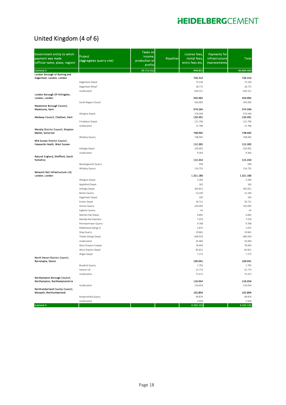### United Kingdom (4 of 6)

| Government entity to which<br>payment was made<br>(official name, place, region) | Project<br>(Aggregates quarry site) | <b>Taxes on</b><br>income,<br>production or<br>profits | <b>Royalties</b> | License fees,<br>rental fees,<br>entry fees etc. | <b>Payments for</b><br>infrastructure<br>improvements | <b>Total</b>     |
|----------------------------------------------------------------------------------|-------------------------------------|--------------------------------------------------------|------------------|--------------------------------------------------|-------------------------------------------------------|------------------|
| Subtotal 3                                                                       |                                     | 59.715.552                                             |                  | 948.852                                          |                                                       | 60.664.404       |
| London Borough of Barking and<br>Dagenham, London, London                        |                                     |                                                        |                  | 726.313                                          |                                                       | 726.313          |
|                                                                                  | Dagenham Depot                      |                                                        |                  | 73.230                                           |                                                       | 73.230           |
|                                                                                  | Dagenham Wharf                      |                                                        |                  | 18.772                                           |                                                       | 18.772           |
|                                                                                  | Unallocated                         |                                                        |                  | 634.311                                          |                                                       | 634.311          |
| London Borough Of Hillingdon,                                                    |                                     |                                                        |                  |                                                  |                                                       |                  |
| London, London                                                                   |                                     |                                                        |                  | 350.992                                          |                                                       | 350.992          |
| Maidstone Borough Council,                                                       | South Region Closed                 |                                                        |                  | 350.992                                          |                                                       | 350.992          |
| Maidstone, Kent                                                                  |                                     |                                                        |                  | 374.594                                          |                                                       | 374.594          |
|                                                                                  | Allington Depot                     |                                                        |                  | 374.594                                          |                                                       | 374.594          |
| Medway Council, Chatham, Kent                                                    |                                     |                                                        |                  | 133.491                                          |                                                       | 133.491          |
|                                                                                  | Frindsbury Depot                    |                                                        |                  | 121.706                                          |                                                       | 121.706          |
| Mendip District Council, Shepton                                                 | Unallocated                         |                                                        |                  | 11.786                                           |                                                       | 11.786           |
| <b>Mallet, Somerset</b>                                                          |                                     |                                                        |                  | 748.945                                          |                                                       | 748.945          |
|                                                                                  | Whatley Quarry                      |                                                        |                  | 748.945                                          |                                                       | 748.945          |
| Mid Sussex District Council,                                                     |                                     |                                                        |                  |                                                  |                                                       |                  |
| Haywards Heath, West Sussex                                                      |                                     |                                                        |                  | 112.365                                          |                                                       | 112.365          |
|                                                                                  | Ardingly Depot<br>Unallocated       |                                                        |                  | 103.001<br>9.363                                 |                                                       | 103.001<br>9.363 |
| Natural England, Sheffield, South                                                |                                     |                                                        |                  |                                                  |                                                       |                  |
| Yorkshire                                                                        |                                     |                                                        |                  | 115.354                                          |                                                       | 115.354          |
|                                                                                  | Needingworth Quarry                 |                                                        |                  | 599                                              |                                                       | 599              |
|                                                                                  | Whatley Quarry                      |                                                        |                  | 114.755                                          |                                                       | 114.755          |
| Network Rail Infrastructure Ltd,<br>London, London                               |                                     |                                                        |                  | 1.321.180                                        |                                                       | 1.321.180        |
|                                                                                  | Allington Depot                     |                                                        |                  | 5.283                                            |                                                       | 5.283            |
|                                                                                  | Appleford Depot                     |                                                        |                  | 165                                              |                                                       | 165              |
|                                                                                  | Ardingly Depot                      |                                                        |                  | 303.811                                          |                                                       | 303.811          |
|                                                                                  | Barton Quarry                       |                                                        |                  | 13.240                                           |                                                       | 13.240           |
|                                                                                  | Dagenham Depot                      |                                                        |                  | 105                                              |                                                       | 105              |
|                                                                                  | Exeter Depot                        |                                                        |                  | 34.711                                           |                                                       | 34.711           |
|                                                                                  | Horton Quarry                       |                                                        |                  | 103.093                                          |                                                       | 103.093          |
|                                                                                  | Ingleton Quarry                     |                                                        |                  | 42                                               |                                                       | 42               |
|                                                                                  | Machen Rail Depot                   |                                                        |                  | 6.892                                            |                                                       | 6.892            |
|                                                                                  | Mendip Rail Operatio                |                                                        |                  | 7.976                                            |                                                       | 7.976            |
|                                                                                  | Penmaenmawr Quarry                  |                                                        |                  | 9.768                                            |                                                       | 9.768            |
|                                                                                  | Ribblehead Sidings D<br>Shap Quarry |                                                        |                  | 2.875<br>19.661                                  |                                                       | 2.875<br>19.661  |
|                                                                                  | Theale Sidings Depot                |                                                        |                  | 609.919                                          |                                                       | 609.919          |
|                                                                                  | Unallocated                         |                                                        |                  | 35.060                                           |                                                       | 35.060           |
|                                                                                  | West Drayton Coalyar                |                                                        |                  | 78.493                                           |                                                       | 78.493           |
|                                                                                  | West Drayton Depot                  |                                                        |                  | 82.811                                           |                                                       | 82.811           |
|                                                                                  | Wigan Depot                         |                                                        |                  | 7.275                                            |                                                       | 7.275            |
| North Devon District Council,                                                    |                                     |                                                        |                  |                                                  |                                                       |                  |
| Barnstaple, Devon                                                                | Brayford Quarry                     |                                                        |                  | 100.041                                          |                                                       | 100.041<br>1.795 |
|                                                                                  | Hanson UK                           |                                                        |                  | 1.795<br>22.773                                  |                                                       | 22.773           |
|                                                                                  | Unallocated                         |                                                        |                  | 75.472                                           |                                                       | 75.472           |
| Northampton Borough Council,                                                     |                                     |                                                        |                  |                                                  |                                                       |                  |
| Northampton, Northamptonshire                                                    |                                     |                                                        |                  | 116.054                                          |                                                       | 116.054          |
| Northumberland County Council,                                                   | Unallocated                         |                                                        |                  | 116.054                                          |                                                       | 116.054          |
| Morpeth, Northumberland                                                          |                                     |                                                        |                  | 102.804                                          |                                                       | 102.804          |
|                                                                                  | Keepershield Quarry                 |                                                        |                  | 99.874                                           |                                                       | 99.874           |
|                                                                                  | Unallocated                         |                                                        |                  | 2.929                                            |                                                       | 2.929            |
| Subtotal 4                                                                       |                                     |                                                        |                  | 4.202.132                                        |                                                       | 4.202.132        |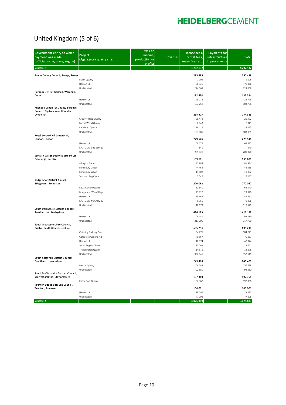### United Kingdom (5 of 6)

| Government entity to which<br>payment was made<br>(official name, place, region) | Project<br>(Aggregates quarry site) | <b>Taxes on</b><br>income,<br>production or<br>profits | <b>Royalties</b> | License fees,<br>rental fees,<br>entry fees etc. | Payments for<br>infrastructure<br><b>improvements</b> | Total            |
|----------------------------------------------------------------------------------|-------------------------------------|--------------------------------------------------------|------------------|--------------------------------------------------|-------------------------------------------------------|------------------|
| Subtotal 4                                                                       |                                     |                                                        |                  | 4.202.132                                        |                                                       | 4.202.132        |
|                                                                                  |                                     |                                                        |                  |                                                  |                                                       |                  |
| Powys County Council, Powys, Powys                                               | <b>Builth Quarry</b>                |                                                        |                  | 295.499<br>1.105                                 |                                                       | 295.499<br>1.105 |
|                                                                                  | Hanson UK                           |                                                        |                  | 70.326                                           |                                                       | 70.326           |
|                                                                                  | Unallocated                         |                                                        |                  | 224.068                                          |                                                       | 224.068          |
| Purbeck District Council, Wareham,                                               |                                     |                                                        |                  |                                                  |                                                       |                  |
| Dorset                                                                           |                                     |                                                        |                  | 132.534                                          |                                                       | 132.534          |
|                                                                                  | Hanson UK                           |                                                        |                  | 28.776                                           |                                                       | 28.776           |
| Rhondda Cynon Taf County Borough                                                 | Unallocated                         |                                                        |                  | 103.758                                          |                                                       | 103.758          |
| Council, Clydach Vale, Rhondda<br>Cynon Taf                                      |                                     |                                                        |                  | 234.325                                          |                                                       | 234.325          |
|                                                                                  | Craig-yr-Hesg Quarry                |                                                        |                  | 25.472                                           |                                                       | 25.472           |
|                                                                                  | Forest Wood Quarry                  |                                                        |                  | 6.843                                            |                                                       | 6.843            |
|                                                                                  | Penderyn Quarry                     |                                                        |                  | 18.125                                           |                                                       | 18.125           |
|                                                                                  | Unallocated                         |                                                        |                  | 183.885                                          |                                                       | 183.885          |
| Royal Borough Of Greenwich,                                                      |                                     |                                                        |                  |                                                  |                                                       |                  |
| London, London                                                                   |                                     |                                                        |                  | 279.546                                          |                                                       | 279.546          |
|                                                                                  | Hanson UK                           |                                                        |                  | 69.677                                           |                                                       | 69.677           |
|                                                                                  | MCP UK O Elba ESM 11                |                                                        |                  | 849                                              |                                                       | 849              |
| Scottish Water Business Stream Ltd,                                              | Unallocated                         |                                                        |                  | 209.020                                          |                                                       | 209.020          |
| Edinburgh, Lothian                                                               |                                     |                                                        |                  | 139.601                                          |                                                       | 139.601          |
|                                                                                  | Allington Depot                     |                                                        |                  | 81.984                                           |                                                       | 81.984           |
|                                                                                  | Frindsbury Depot                    |                                                        |                  | 44.468                                           |                                                       | 44.468           |
|                                                                                  | Frindsbury Wharf                    |                                                        |                  | 11.002                                           |                                                       | 11.002           |
|                                                                                  | Scotland Reg Closed                 |                                                        |                  | 2.147                                            |                                                       | 2.147            |
| Sedgemoor District Council,<br><b>Bridgwater, Somerset</b>                       |                                     |                                                        |                  | 270.062                                          |                                                       | 270.062          |
|                                                                                  | Batts Combe Quarry                  |                                                        |                  | 62.540                                           |                                                       | 62.540           |
|                                                                                  | <b>Bridgwater Wharf Dep</b>         |                                                        |                  | 23.820                                           |                                                       | 23.820           |
|                                                                                  | Hanson UK                           |                                                        |                  | 55.667                                           |                                                       | 55.667           |
|                                                                                  | MCP UK M McCrory 80                 |                                                        |                  | 9.356                                            |                                                       | 9.356            |
|                                                                                  | Unallocated                         |                                                        |                  | 118.679                                          |                                                       | 118.679          |
| South Derbyshire District Council,<br>Swadlincote, Derbyshire                    |                                     |                                                        |                  | 426.189                                          |                                                       | 426.189          |
|                                                                                  | Hanson UK                           |                                                        |                  | 108.489                                          |                                                       | 108.489          |
|                                                                                  | Unallocated                         |                                                        |                  | 317.700                                          |                                                       | 317.700          |
| South Gloucestershire Council,<br>Bristol, South Gloucestershire                 |                                     |                                                        |                  | 695.294                                          |                                                       | 695.294          |
|                                                                                  | Chipping Sodbury Qua                |                                                        |                  | 184.271                                          |                                                       | 184.271          |
|                                                                                  | Corporate General Ad                |                                                        |                  | 70.867                                           |                                                       | 70.867           |
|                                                                                  | Hanson UK                           |                                                        |                  | 48.874                                           |                                                       | 48.874           |
|                                                                                  | South Region Closed                 |                                                        |                  | 23.762                                           |                                                       | 23.762           |
|                                                                                  | <b>Tytherington Quarry</b>          |                                                        |                  | 14.875                                           |                                                       | 14.875           |
|                                                                                  | Unallocated                         |                                                        |                  | 352.645                                          |                                                       | 352.645          |
| South Kesteven District Council,<br>Grantham, Lincolnshire                       |                                     |                                                        |                  | 249.468                                          |                                                       | 249.468          |
|                                                                                  | <b>Baston Quarry</b>                |                                                        |                  | 156.588                                          |                                                       | 156.588          |
|                                                                                  | Unallocated                         |                                                        |                  | 92.880                                           |                                                       | 92.880           |
| South Staffordshire District Council,                                            |                                     |                                                        |                  |                                                  |                                                       |                  |
| Wolverhampton, Staffordshire                                                     |                                     |                                                        |                  | 197.368                                          |                                                       | 197.368          |
| Taunton Deane Borough Council,                                                   | Pottal Pool Quarry                  |                                                        |                  | 197.368                                          |                                                       | 197.368          |
| Taunton, Somerset                                                                |                                     |                                                        |                  | 106.001                                          |                                                       | 106.001          |
|                                                                                  | Hanson UK                           |                                                        |                  | 28.795                                           |                                                       | 28.795           |
|                                                                                  | Unallocated                         |                                                        |                  | 77.206                                           |                                                       | 77.206           |
| Subtotal 5                                                                       |                                     |                                                        |                  | 3.025.889                                        |                                                       | 3.025.889        |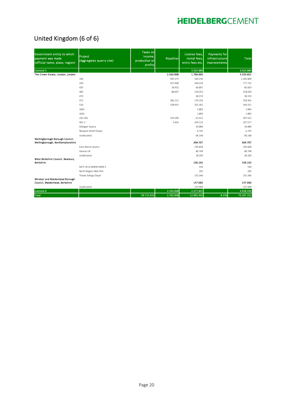### United Kingdom (6 of 6)

| Government entity to which<br>payment was made<br>(official name, place, region) | Project<br>(Aggregates quarry site) | <b>Taxes on</b><br>income,<br>production or<br>profits | <b>Royalties</b> | License fees.<br>rental fees,<br>entry fees etc. | <b>Payments for</b><br>infrastructure<br><b>improvements</b> | <b>Total</b> |
|----------------------------------------------------------------------------------|-------------------------------------|--------------------------------------------------------|------------------|--------------------------------------------------|--------------------------------------------------------------|--------------|
| Subtotal 5                                                                       |                                     |                                                        |                  | 3.025.889                                        |                                                              | 3.025.889    |
| The Crown Estate, London, London                                                 |                                     |                                                        | 2.550.908        | 1.769.693                                        |                                                              | 4.320.601    |
|                                                                                  | 106                                 |                                                        | 945.575          | 340.234                                          |                                                              | 1.285.809    |
|                                                                                  | 240                                 |                                                        | 437.498          | 340.234                                          |                                                              | 777.732      |
|                                                                                  | 435                                 |                                                        | 18.932           | 66.897                                           |                                                              | 85.829       |
|                                                                                  | 460                                 |                                                        | 88.697           | 229.353                                          |                                                              | 318.050      |
|                                                                                  | 470                                 |                                                        |                  | 38.374                                           |                                                              | 38.374       |
|                                                                                  | 473                                 |                                                        | 382.211          | 176.150                                          |                                                              | 558.361      |
|                                                                                  | 526                                 |                                                        | 338.951          | 201.361                                          |                                                              | 540.311      |
|                                                                                  | 1601                                |                                                        |                  | 1.883                                            |                                                              | 1.883        |
|                                                                                  | 1602                                |                                                        |                  | 1.883                                            |                                                              | 1.883        |
|                                                                                  | 242-361                             |                                                        | 335.590          | 61.422                                           |                                                              | 397.012      |
|                                                                                  | $401 - 2$                           |                                                        | 3.454            | 204.123                                          |                                                              | 207.577      |
|                                                                                  | Gelligaer Quarry                    |                                                        |                  | 34.886                                           |                                                              | 34.886       |
|                                                                                  | Newport Wharf Depot                 |                                                        |                  | 6.745                                            |                                                              | 6.745        |
|                                                                                  | Unallocated                         |                                                        |                  | 66.148                                           |                                                              | 66.148       |
| Wellingborough Borough Council,<br>Wellingborough, Northamptonshire              |                                     |                                                        |                  | 304.707                                          |                                                              | 304.707      |
|                                                                                  | Earls Barton Quarry                 |                                                        |                  | 195.858                                          |                                                              | 195.858      |
|                                                                                  | Hanson UK                           |                                                        |                  | 80.748                                           |                                                              | 80.748       |
|                                                                                  | Unallocated                         |                                                        |                  | 28.100                                           |                                                              | 28.100       |
| West Berkshire Council, Newbury,<br><b>Berkshire</b>                             |                                     |                                                        |                  | 156.142                                          |                                                              | 156.142      |
|                                                                                  | MCP UK Q SIMEM MMX 5                |                                                        |                  | 530                                              |                                                              | 530          |
|                                                                                  | North Region G&A Ohd                |                                                        |                  | 265                                              |                                                              | 265          |
|                                                                                  | Theale Sidings Depot                |                                                        |                  | 155.346                                          |                                                              | 155.346      |
| Windsor and Maidenhead Borough<br>Council, Maidenhead, Berkshire                 |                                     |                                                        |                  | 147.060                                          |                                                              | 147.060      |
|                                                                                  | Unallocated                         |                                                        |                  | 147.060                                          |                                                              | 147.060      |
| Subtotal 6                                                                       |                                     |                                                        | 2.550.908        | 2.377.601                                        |                                                              | 4.928.509    |
| <b>Total</b>                                                                     |                                     | 59.715.552                                             | 2.550.908        | 12.992.435                                       | 8.256                                                        | 75.267.151   |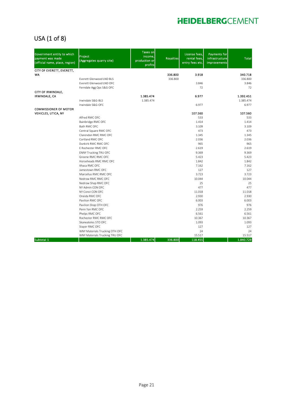### USA (1 of 8)

| Government entity to which<br>payment was made<br>(official name, place, region) | Project<br>(Aggregates quarry site) | <b>Taxes on</b><br>income.<br>production or<br>profits | <b>Royalties</b> | License fees,<br>rental fees,<br>entry fees etc. | <b>Payments for</b><br>infrastructure<br>improvements | <b>Total</b> |
|----------------------------------------------------------------------------------|-------------------------------------|--------------------------------------------------------|------------------|--------------------------------------------------|-------------------------------------------------------|--------------|
| CITY OF EVERETT, EVERETT,                                                        |                                     |                                                        |                  |                                                  |                                                       |              |
| WA                                                                               |                                     |                                                        | 336.800          | 3.918                                            |                                                       | 340.718      |
|                                                                                  | Everett Glenwood LND BLS            |                                                        | 336.800          |                                                  |                                                       | 336.800      |
|                                                                                  | Everett Glenwood LND OFC            |                                                        |                  | 3.846<br>72                                      |                                                       | 3.846<br>72  |
| CITY OF IRWINDALE,                                                               | Ferndale Agg Ops S&G OFC            |                                                        |                  |                                                  |                                                       |              |
| <b>IRWINDALE, CA</b>                                                             |                                     | 1.385.474                                              |                  | 6.977                                            |                                                       | 1.392.451    |
|                                                                                  | Irwindale S&G-BLS                   | 1.385.474                                              |                  |                                                  |                                                       | 1.385.474    |
|                                                                                  | Irwindale S&G-OFC                   |                                                        |                  | 6.977                                            |                                                       | 6.977        |
| <b>COMMISSIONER OF MOTOR</b>                                                     |                                     |                                                        |                  |                                                  |                                                       |              |
| VEHICLES, UTICA, NY                                                              |                                     |                                                        |                  | 107.560                                          |                                                       | 107.560      |
|                                                                                  | Alfred RMC OFC                      |                                                        |                  | 533                                              |                                                       | 533          |
|                                                                                  | Bainbridge RMC OFC                  |                                                        |                  | 1.414                                            |                                                       | 1.414        |
|                                                                                  | Bath RMC OFC                        |                                                        |                  | 3.109                                            |                                                       | 3.109        |
|                                                                                  | Central Square RMC OFC              |                                                        |                  | 473                                              |                                                       | 473          |
|                                                                                  | Clarendon RMC RMC OFC               |                                                        |                  | 1.345                                            |                                                       | 1.345        |
|                                                                                  | Cortland RMC OFC                    |                                                        |                  | 2.036                                            |                                                       | 2.036        |
|                                                                                  | Dunkirk RMC RMC OFC                 |                                                        |                  | 965                                              |                                                       | 965          |
|                                                                                  | E Rochester RMC OFC                 |                                                        |                  | 2.619                                            |                                                       | 2.619        |
|                                                                                  | <b>ENNY Trucking TRU OFC</b>        |                                                        |                  | 9.369                                            |                                                       | 9.369        |
|                                                                                  | Greene RMC RMC OFC                  |                                                        |                  | 5.423                                            |                                                       | 5.423        |
|                                                                                  | Horseheads RMC RMC OFC              |                                                        |                  | 1.842                                            |                                                       | 1.842        |
|                                                                                  | Ithaca RMC OFC                      |                                                        |                  | 7.162                                            |                                                       | 7.162        |
|                                                                                  | Jamestown RMC OFC                   |                                                        |                  | 127                                              |                                                       | 127          |
|                                                                                  | Marcellus RMC RMC OFC               |                                                        |                  | 3.723                                            |                                                       | 3.723        |
|                                                                                  | Nedrow RMC RMC OFC                  |                                                        |                  | 10.044                                           |                                                       | 10.044       |
|                                                                                  | Nedrow Shop RMC OFC                 |                                                        |                  | 25                                               |                                                       | 25           |
|                                                                                  | NY Admin CON OFC                    |                                                        |                  | 477                                              |                                                       | 477          |
|                                                                                  | NY Const CON OFC                    |                                                        |                  | 11.018                                           |                                                       | 11.018       |
|                                                                                  | Oneida RMC OFC                      |                                                        |                  | 2.930                                            |                                                       | 2.930        |
|                                                                                  | Pavilion RMC OFC                    |                                                        |                  | 6.003                                            |                                                       | 6.003        |
|                                                                                  | Pavilion Shop OTH OFC               |                                                        |                  | 976                                              |                                                       | 976          |
|                                                                                  | Penn Yan RMC OFC                    |                                                        |                  | 2.259                                            |                                                       | 2.259        |
|                                                                                  | Phelps RMC OFC                      |                                                        |                  | 6.561                                            |                                                       | 6.561        |
|                                                                                  | Rochester RMC RMC OFC               |                                                        |                  | 10.367                                           |                                                       | 10.367       |
|                                                                                  | Skaneateles STO OFC                 |                                                        |                  | 1.093                                            |                                                       | 1.093        |
|                                                                                  | Stayer RMC OFC                      |                                                        |                  | 127                                              |                                                       | 127          |
|                                                                                  | WNY Materials Trucking OTH OFC      |                                                        |                  | 24                                               |                                                       | 24           |
|                                                                                  | WNY Materials Trucking TRU OFC      |                                                        |                  | 15.517                                           |                                                       | 15.517       |
| Subtotal 1                                                                       |                                     | 1.385.474                                              | 336.800          | 118.455                                          |                                                       | 1.840.729    |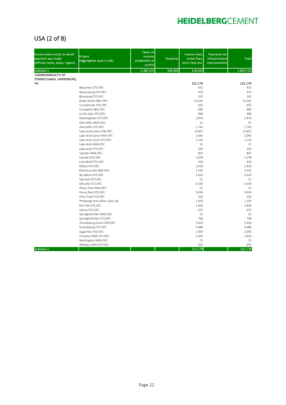### USA (2 of 8)

| Government entity to which<br>payment was made<br>(official name, place, region) | Project<br>(Aggregates quarry site) | <b>Taxes on</b><br>income,<br>production or<br>profits | <b>Royalties</b> | License fees,<br>rental fees,<br>entry fees etc. | <b>Payments for</b><br>infrastructure<br>improvements | <b>Total</b> |
|----------------------------------------------------------------------------------|-------------------------------------|--------------------------------------------------------|------------------|--------------------------------------------------|-------------------------------------------------------|--------------|
| Subtotal 1                                                                       |                                     | 1.385.474                                              | 336.800          | 118.455                                          |                                                       | 1.840.729    |
| <b>COMMONWEALTH OF</b>                                                           |                                     |                                                        |                  |                                                  |                                                       |              |
| PENNSYLVANIA, HARRISBURG,                                                        |                                     |                                                        |                  |                                                  |                                                       |              |
| PA                                                                               |                                     |                                                        |                  | 122.179                                          |                                                       | 122.179      |
|                                                                                  | Bessemer STO OFC                    |                                                        |                  | 431                                              |                                                       | 431          |
|                                                                                  | Bloomsburg STO OFC                  |                                                        |                  | 473                                              |                                                       | 473          |
|                                                                                  | Blossburg STO OFC                   |                                                        |                  | 101                                              |                                                       | 101          |
|                                                                                  | Brady Street S&G OFC                |                                                        |                  | 52.241                                           |                                                       | 52.241       |
|                                                                                  | Connellsville STO OFC               |                                                        |                  | 655                                              |                                                       | 655          |
|                                                                                  | Coraopolis S&G OFC                  |                                                        |                  | 685                                              |                                                       | 685          |
|                                                                                  | Curtin Gap STO OFC                  |                                                        |                  | 996                                              |                                                       | 996          |
|                                                                                  | Downingtown STO OFC                 |                                                        |                  | 2.874                                            |                                                       | 2.874        |
|                                                                                  | Glen Mills HMA OFC                  |                                                        |                  | 51                                               |                                                       | 51           |
|                                                                                  | Glen Mills STO OFC                  |                                                        |                  | 1.741                                            |                                                       | 1.741        |
|                                                                                  | Lake Ariel Const CON OFC            |                                                        |                  | 13.857                                           |                                                       | 13.857       |
|                                                                                  | Lake Ariel Const HMA OFC            |                                                        |                  | 2.043                                            |                                                       | 2.043        |
|                                                                                  | Lake Ariel Const STO OFC            |                                                        |                  | 1.210                                            |                                                       | 1.210        |
|                                                                                  | Lake Ariel HMA OFC                  |                                                        |                  | 51                                               |                                                       | 51           |
|                                                                                  | Lake Ariel STO OFC                  |                                                        |                  | 101                                              |                                                       | 101          |
|                                                                                  | Latrobe HMA OFC                     |                                                        |                  | 807                                              |                                                       | 807          |
|                                                                                  | Latrobe STO OFC                     |                                                        |                  | 1.078                                            |                                                       | 1.078        |
|                                                                                  | Lime Bluff STO OFC                  |                                                        |                  | 423                                              |                                                       | 423          |
|                                                                                  | Milton STO OFC                      |                                                        |                  | 2.418                                            |                                                       | 2.418        |
|                                                                                  | Montoursville S&G OFC               |                                                        |                  | 2.541                                            |                                                       | 2.541        |
|                                                                                  | NE Admin STO OFC                    |                                                        |                  | 5.620                                            |                                                       | 5.620        |
|                                                                                  | Oak Hall STO OFC                    |                                                        |                  | 51                                               |                                                       | 51           |
|                                                                                  | Ottsville STO OFC                   |                                                        |                  | 6.336                                            |                                                       | 6.336        |
|                                                                                  | Penns Park HMA OFC                  |                                                        |                  | 51                                               |                                                       | 51           |
|                                                                                  | Penns Park STO OFC                  |                                                        |                  | 5.034                                            |                                                       | 5.034        |
|                                                                                  | Pine Creek STO OFC                  |                                                        |                  | 203                                              |                                                       | 203          |
|                                                                                  | Pittsburgh Area Other Sites S&      |                                                        |                  | 1.205                                            |                                                       | 1.205        |
|                                                                                  | Rich Hill STO OFC                   |                                                        |                  | 1.834                                            |                                                       | 1.834        |
|                                                                                  | Salona STO OFC                      |                                                        |                  | 423                                              |                                                       | 423          |
|                                                                                  | Springfield Pike HMA OFC            |                                                        |                  | 51                                               |                                                       | 51           |
|                                                                                  | Springfield Pike STO OFC            |                                                        |                  | 706                                              |                                                       | 706          |
|                                                                                  | Stroudsburg Const CON OFC           |                                                        |                  | 5.910                                            |                                                       | 5.910        |
|                                                                                  | Stroudsburg STO OFC                 |                                                        |                  | 4.480                                            |                                                       | 4.480        |
|                                                                                  | Sugar Run STO OFC                   |                                                        |                  | 2.959                                            |                                                       | 2.959        |
|                                                                                  | Torrance PMA STO OFC                |                                                        |                  | 1.834                                            |                                                       | 1.834        |
|                                                                                  | Washington HMA OFC                  |                                                        |                  | 51<br>655                                        |                                                       | 51<br>655    |
| Subtotal 2                                                                       | Whitney PMA STO OFC                 |                                                        |                  | 122.179                                          |                                                       | 122.179      |
|                                                                                  |                                     |                                                        |                  |                                                  |                                                       |              |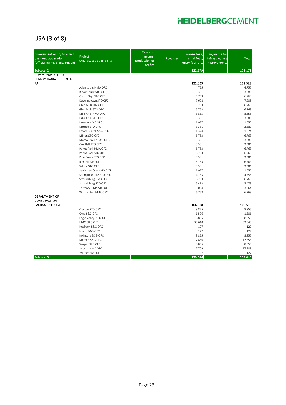### USA (3 of 8)

| Government entity to which<br>payment was made<br>(official name, place, region) | Project<br>(Aggregates quarry site)     | <b>Taxes on</b><br>income.<br>production or<br>profits | <b>Royalties</b> | License fees,<br>rental fees,<br>entry fees etc. | <b>Payments for</b><br>infrastructure<br>improvements | <b>Total</b>     |
|----------------------------------------------------------------------------------|-----------------------------------------|--------------------------------------------------------|------------------|--------------------------------------------------|-------------------------------------------------------|------------------|
| Subtotal 2                                                                       |                                         |                                                        |                  | 122.179                                          |                                                       | 122.179          |
| <b>COMMONWEALTH OF</b>                                                           |                                         |                                                        |                  |                                                  |                                                       |                  |
| PENNSYLVANIA, PITTSBURGH,                                                        |                                         |                                                        |                  |                                                  |                                                       |                  |
| PA                                                                               |                                         |                                                        |                  | 122.529<br>4.755                                 |                                                       | 122.529<br>4.755 |
|                                                                                  | Adamsburg HMA OFC                       |                                                        |                  |                                                  |                                                       | 3.381            |
|                                                                                  | Bloomsburg STO OFC                      |                                                        |                  | 3.381<br>6.763                                   |                                                       | 6.763            |
|                                                                                  | Curtin Gap STO OFC                      |                                                        |                  | 7.608                                            |                                                       | 7.608            |
|                                                                                  | Downingtown STO OFC                     |                                                        |                  |                                                  |                                                       |                  |
|                                                                                  | Glen Mills HMA OFC                      |                                                        |                  | 6.763                                            |                                                       | 6.763            |
|                                                                                  | Glen Mills STO OFC                      |                                                        |                  | 6.763                                            |                                                       | 6.763            |
|                                                                                  | Lake Ariel HMA OFC                      |                                                        |                  | 8.855                                            |                                                       | 8.855            |
|                                                                                  | Lake Ariel STO OFC                      |                                                        |                  | 3.381                                            |                                                       | 3.381            |
|                                                                                  | Latrobe HMA OFC<br>Latrobe STO OFC      |                                                        |                  | 1.057                                            |                                                       | 1.057            |
|                                                                                  |                                         |                                                        |                  | 3.381                                            |                                                       | 3.381            |
|                                                                                  | Lower Burrell S&G OFC                   |                                                        |                  | 1.374                                            |                                                       | 1.374            |
|                                                                                  | Milton STO OFC                          |                                                        |                  | 6.763                                            |                                                       | 6.763            |
|                                                                                  | Montoursville S&G OFC                   |                                                        |                  | 3.381                                            |                                                       | 3.381            |
|                                                                                  | Oak Hall STO OFC                        |                                                        |                  | 3.381                                            |                                                       | 3.381            |
|                                                                                  | Penns Park HMA OFC                      |                                                        |                  | 6.763                                            |                                                       | 6.763            |
|                                                                                  | Penns Park STO OFC                      |                                                        |                  | 6.763                                            |                                                       | 6.763            |
|                                                                                  | Pine Creek STO OFC<br>Rich Hill STO OFC |                                                        |                  | 3.381                                            |                                                       | 3.381<br>6.763   |
|                                                                                  | Salona STO OFC                          |                                                        |                  | 6.763<br>3.381                                   |                                                       | 3.381            |
|                                                                                  |                                         |                                                        |                  | 1.057                                            |                                                       | 1.057            |
|                                                                                  | Sewickley Creek HMA OF                  |                                                        |                  | 4.755                                            |                                                       | 4.755            |
|                                                                                  | Springfield Pike STO OFC                |                                                        |                  |                                                  |                                                       |                  |
|                                                                                  | Stroudsburg HMA OFC                     |                                                        |                  | 6.763                                            |                                                       | 6.763            |
|                                                                                  | Stroudsburg STO OFC                     |                                                        |                  | 5.473                                            |                                                       | 5.473            |
|                                                                                  | Torrance PMA STO OFC                    |                                                        |                  | 3.064                                            |                                                       | 3.064<br>6.763   |
| DEPARTMENT OF<br><b>CONSERVATION,</b>                                            | Washington HMA OFC                      |                                                        |                  | 6.763                                            |                                                       |                  |
| SACRAMENTO, CA                                                                   |                                         |                                                        |                  | 106.518                                          |                                                       | 106.518          |
|                                                                                  | Clayton STO OFC                         |                                                        |                  | 8.855                                            |                                                       | 8.855            |
|                                                                                  | Cree S&G OFC                            |                                                        |                  | 1.506                                            |                                                       | 1.506            |
|                                                                                  | Eagle Valley STO-OFC                    |                                                        |                  | 8.855                                            |                                                       | 8.855            |
|                                                                                  | HMO S&G OFC                             |                                                        |                  | 33.648                                           |                                                       | 33.648           |
|                                                                                  | Hughson S&G OFC                         |                                                        |                  | 127                                              |                                                       | 127              |
|                                                                                  | Inland S&G-OFC                          |                                                        |                  | 127                                              |                                                       | 127              |
|                                                                                  | Irwindale S&G-OFC                       |                                                        |                  | 8.855                                            |                                                       | 8.855            |
|                                                                                  | Merced S&G OFC                          |                                                        |                  | 17.856                                           |                                                       | 17.856           |
|                                                                                  | Sanger S&G OFC                          |                                                        |                  | 8.855                                            |                                                       | 8.855            |
|                                                                                  | Sisquoc HMA OFC                         |                                                        |                  | 17.709                                           |                                                       | 17.709           |
|                                                                                  | Warner S&G OFC                          |                                                        |                  | 127                                              |                                                       | 127              |
| Subtotal 3                                                                       |                                         |                                                        |                  | 229.046                                          |                                                       | 229.046          |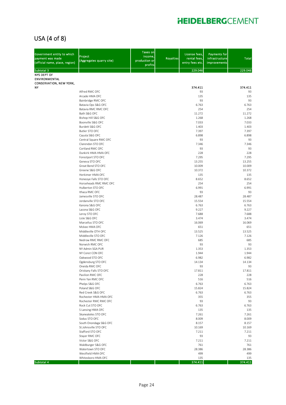### USA (4 of 8)

| Government entity to which<br>payment was made<br>(official name, place, region)   | Project<br>(Aggregates quarry site)         | <b>Taxes on</b><br>income,<br>production or<br>profits | <b>Royalties</b> | License fees,<br>rental fees,<br>entry fees etc. | <b>Payments for</b><br>infrastructure<br><b>improvements</b> | <b>Total</b>  |
|------------------------------------------------------------------------------------|---------------------------------------------|--------------------------------------------------------|------------------|--------------------------------------------------|--------------------------------------------------------------|---------------|
| Subtotal 3                                                                         |                                             |                                                        |                  | 229.046                                          |                                                              | 229.046       |
| <b>NYS DEPT OF</b><br><b>ENVIRONMENTAL</b><br><b>CONSERVATION, NEW YORK,</b><br>NΥ |                                             |                                                        |                  | 374.411                                          |                                                              | 374.411       |
|                                                                                    | Alfred RMC OFC                              |                                                        |                  | 93                                               |                                                              | 93            |
|                                                                                    | Arcade HMA OFC                              |                                                        |                  | 135                                              |                                                              | 135           |
|                                                                                    | Bainbridge RMC OFC                          |                                                        |                  | 93                                               |                                                              | 93            |
|                                                                                    | Batavia Ops S&G OFC                         |                                                        |                  | 6.763                                            |                                                              | 6.763         |
|                                                                                    | Batavia RMC RMC OFC<br>Bath S&G OFC         |                                                        |                  | 254<br>11.272                                    |                                                              | 254<br>11.272 |
|                                                                                    | Bishop Hill S&G OFC                         |                                                        |                  | 1.268                                            |                                                              | 1.268         |
|                                                                                    | Boonville S&G OFC                           |                                                        |                  | 7.033                                            |                                                              | 7.033         |
|                                                                                    | Burdett S&G OFC                             |                                                        |                  | 1.403                                            |                                                              | 1.403         |
|                                                                                    | Butler STO OFC                              |                                                        |                  | 7.397                                            |                                                              | 7.397         |
|                                                                                    | Cayuta S&G OFC                              |                                                        |                  | 6.898                                            |                                                              | 6.898         |
|                                                                                    | Central Square RMC OFC                      |                                                        |                  | 93                                               |                                                              | 93            |
|                                                                                    | Clarendon STO OFC                           |                                                        |                  | 7.346                                            |                                                              | 7.346         |
|                                                                                    | Cortland RMC OFC<br>Dunkirk HMA HMA OFC     |                                                        |                  | 93<br>228                                        |                                                              | 93<br>228     |
|                                                                                    | Forestport STO OFC                          |                                                        |                  | 7.295                                            |                                                              | 7.295         |
|                                                                                    | Geneva STO OFC                              |                                                        |                  | 13.255                                           |                                                              | 13.255        |
|                                                                                    | Great Bend STO OFC                          |                                                        |                  | 10.009                                           |                                                              | 10.009        |
|                                                                                    | Greene S&G OFC                              |                                                        |                  | 10.372                                           |                                                              | 10.372        |
|                                                                                    | Herkimer HMA OFC                            |                                                        |                  | 135                                              |                                                              | 135           |
|                                                                                    | Honeoye Falls STO OFC                       |                                                        |                  | 8.652                                            |                                                              | 8.652         |
|                                                                                    | Horseheads RMC RMC OFC<br>Hulberton STO OFC |                                                        |                  | 254<br>6.991                                     |                                                              | 254<br>6.991  |
|                                                                                    | Ithaca RMC OFC                              |                                                        |                  | 93                                               |                                                              | 93            |
|                                                                                    | Jamesville STO OFC                          |                                                        |                  | 28.487                                           |                                                              | 28.487        |
|                                                                                    | Jordanville STO OFC                         |                                                        |                  | 15.554                                           |                                                              | 15.554        |
|                                                                                    | Kanona S&G OFC                              |                                                        |                  | 6.763                                            |                                                              | 6.763         |
|                                                                                    | Lacona S&G OFC                              |                                                        |                  | 9.227                                            |                                                              | 9.227         |
|                                                                                    | Leroy STO OFC                               |                                                        |                  | 7.688                                            |                                                              | 7.688         |
|                                                                                    | Lisle S&G OFC                               |                                                        |                  | 3.474                                            |                                                              | 3.474         |
|                                                                                    | Marcellus STO OFC<br>Mckee HMA OFC          |                                                        |                  | 16.069<br>651                                    |                                                              | 16.069<br>651 |
|                                                                                    | Middleville OTH OFC                         |                                                        |                  | 13.525                                           |                                                              | 13.525        |
|                                                                                    | Middleville STO OFC                         |                                                        |                  | 7.126                                            |                                                              | 7.126         |
|                                                                                    | Nedrow RMC RMC OFC                          |                                                        |                  | 685                                              |                                                              | 685           |
|                                                                                    | Norwich RMC OFC                             |                                                        |                  | 93                                               |                                                              | 93            |
|                                                                                    | NY Admin SGA PUR                            |                                                        |                  | 1.353                                            |                                                              | 1.353         |
|                                                                                    | NY Const CON OFC                            |                                                        |                  | 1.944                                            |                                                              | 1.944         |
|                                                                                    | Oakwood STO OFC                             |                                                        |                  | 6.982<br>14.134                                  |                                                              | 6.982         |
|                                                                                    | Ogdensburg STO OFC<br>Oneida RMC OFC        |                                                        |                  | 93                                               |                                                              | 14.134<br>93  |
|                                                                                    | Oriskany Falls STO OFC                      |                                                        |                  | 17.811                                           |                                                              | 17.811        |
|                                                                                    | Pavilion RMC OFC                            |                                                        |                  | 228                                              |                                                              | 228           |
|                                                                                    | Penn Yan RMC OFC                            |                                                        |                  | 516                                              |                                                              | 516           |
|                                                                                    | Phelps S&G OFC                              |                                                        |                  | 6.763                                            |                                                              | 6.763         |
|                                                                                    | Poland S&G OFC                              |                                                        |                  | 15.824                                           |                                                              | 15.824        |
|                                                                                    | Red Creek S&G OFC<br>Rochester HMA HMA OFC  |                                                        |                  | 6.763                                            |                                                              | 6.763         |
|                                                                                    | Rochester RMC RMC OFC                       |                                                        |                  | 355<br>93                                        |                                                              | 355<br>93     |
|                                                                                    | Rock Cut STO OFC                            |                                                        |                  | 6.763                                            |                                                              | 6.763         |
|                                                                                    | S Lansing HMA OFC                           |                                                        |                  | 135                                              |                                                              | 135           |
|                                                                                    | Skaneateles STO OFC                         |                                                        |                  | 7.261                                            |                                                              | 7.261         |
|                                                                                    | Sodus STO OFC                               |                                                        |                  | 8.009                                            |                                                              | 8.009         |
|                                                                                    | South Onondaga S&G OFC                      |                                                        |                  | 8.157                                            |                                                              | 8.157         |
|                                                                                    | St.Johnsville STO OFC                       |                                                        |                  | 10.169                                           |                                                              | 10.169        |
|                                                                                    | Stafford STO OFC                            |                                                        |                  | 7.211                                            |                                                              | 7.211         |
|                                                                                    | Stayer RMC OFC<br>Victor S&G OFC            |                                                        |                  | 93<br>7.211                                      |                                                              | 93<br>7.211   |
|                                                                                    | Waldburger S&G OFC                          |                                                        |                  | 761                                              |                                                              | 761           |
|                                                                                    | Watertown STO OFC                           |                                                        |                  | 28.386                                           |                                                              | 28.386        |
|                                                                                    | Westfield HMA OFC                           |                                                        |                  | 499                                              |                                                              | 499           |
|                                                                                    | Whitesboro HMA OFC                          |                                                        |                  | 135                                              |                                                              | 135           |
| Subtotal 4                                                                         |                                             |                                                        |                  | 374.411                                          |                                                              | 374.411       |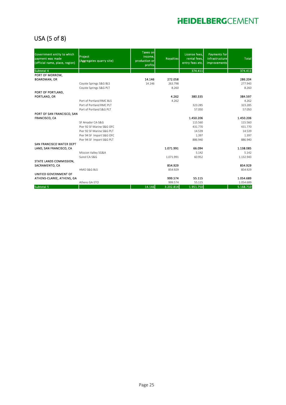### USA (5 of 8)

| Government entity to which<br>payment was made<br>(official name, place, region) | Project<br>(Aggregates quarry site) | <b>Taxes onl</b><br>income,<br>production or<br>profits | <b>Royalties</b> | License fees,<br>rental fees,<br>entry fees etc. | <b>Payments for</b><br>infrastructure<br>improvements | <b>Total</b> |
|----------------------------------------------------------------------------------|-------------------------------------|---------------------------------------------------------|------------------|--------------------------------------------------|-------------------------------------------------------|--------------|
| Subtotal 4                                                                       |                                     |                                                         |                  | 374.411                                          |                                                       | 374.411      |
| PORT OF MORROW,                                                                  |                                     |                                                         |                  |                                                  |                                                       |              |
| <b>BOARDMAN, OR</b>                                                              |                                     | 14.146                                                  | 272.058          |                                                  |                                                       | 286.204      |
|                                                                                  | Coyote Springs S&G BLS              | 14.146                                                  | 263.798          |                                                  |                                                       | 277.943      |
|                                                                                  | Coyote Springs S&G PLT              |                                                         | 8.260            |                                                  |                                                       | 8.260        |
| PORT OF PORTLAND,                                                                |                                     |                                                         |                  |                                                  |                                                       |              |
| PORTLAND, OR                                                                     |                                     |                                                         | 4.262            | 380.335                                          |                                                       | 384.597      |
|                                                                                  | Port of Portland RMC BLS            |                                                         | 4.262            |                                                  |                                                       | 4.262        |
|                                                                                  | Port of Portland RMC PLT            |                                                         |                  | 323.285                                          |                                                       | 323.285      |
|                                                                                  | Port of Portland S&G PLT            |                                                         |                  | 57.050                                           |                                                       | 57.050       |
| PORT OF SAN FRANCISCO, SAN                                                       |                                     |                                                         |                  |                                                  |                                                       |              |
| <b>FRANCISCO, CA</b>                                                             |                                     |                                                         |                  | 1.450.206                                        |                                                       | 1.450.206    |
|                                                                                  | SF Amador CA-S&G                    |                                                         |                  | 115.560                                          |                                                       | 115.560      |
|                                                                                  | Pier 92 SF Marine S&G OFC           |                                                         |                  | 431.770                                          |                                                       | 431.770      |
|                                                                                  | Pier 92 SF Marine S&G PLT           |                                                         |                  | 14.539                                           |                                                       | 14.539       |
|                                                                                  | Pier 94 SF Import S&G OFC           |                                                         |                  | 1.397                                            |                                                       | 1.397        |
|                                                                                  | Pier 94 SF Import S&G PLT           |                                                         |                  | 886.940                                          |                                                       | 886.940      |
| SAN FRANCISCO WATER DEPT                                                         |                                     |                                                         |                  |                                                  |                                                       |              |
| LAND, SAN FRANCISCO, CA                                                          |                                     |                                                         | 1.071.991        | 66.094                                           |                                                       | 1.138.085    |
|                                                                                  | Mission Valley SG&A                 |                                                         |                  | 5.142                                            |                                                       | 5.142        |
|                                                                                  | Sunol CA-S&G                        |                                                         | 1.071.991        | 60.952                                           |                                                       | 1.132.943    |
| STATE LANDS COMMISSION,                                                          |                                     |                                                         |                  |                                                  |                                                       |              |
| SACRAMENTO, CA                                                                   |                                     |                                                         | 854.929          |                                                  |                                                       | 854.929      |
|                                                                                  | HMO S&G BLS                         |                                                         | 854.929          |                                                  |                                                       | 854.929      |
| UNIFIED GOVERNMENT OF                                                            |                                     |                                                         |                  |                                                  |                                                       |              |
| ATHENS-CLARKE, ATHENS, GA                                                        |                                     |                                                         | 999.574          | 55.115                                           |                                                       | 1.054.689    |
|                                                                                  | Athens GA-STO                       |                                                         | 999.574          | 55.115                                           |                                                       | 1.054.689    |
| Subtotal 5                                                                       |                                     | 14.146                                                  | 3.202.814        | 1.951.750                                        |                                                       | 5.168.710    |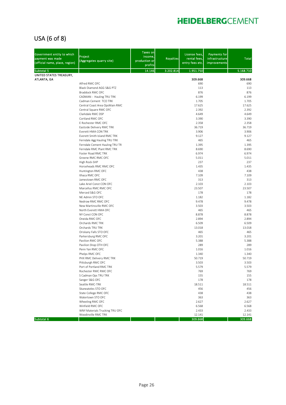### USA (6 of 8)

| 14.146<br>3.202.814<br>1.951.750<br>Subtotal 5<br>UNITED STATES TREASURY,<br>309.668<br>309.668<br>ATLANTA, GA<br>Alfred RMC OFC<br>690<br>690<br>Black Diamond AGG S&G PTZ<br>113<br>Braddock RMC OFC<br>876<br>CADMAN - Hauling TRU TRK<br>6.199<br>6.199<br>Cadman Cement TCO TRK<br>1.705<br>1.705<br>17.625<br>17.625<br>Central Coast Area OpsMain RMC<br>2.392<br>2.392<br>Central Square RMC OFC<br>Clarkdale RMC DSP<br>4.649<br>4.649<br>Cortland RMC OFC<br>3.390<br>3.390<br>E Rochester RMC OFC<br>2.358<br>36.719<br>36.719<br>Eastside Delivery RMC TRK<br>3.906<br>3.906<br>Everett HMA CON TRK<br>9.127<br>Everett Smith Island RMC TRK<br>9.127<br>465<br>465<br>Ferndale Agg Hauling TRU TRK<br>1.395<br>Ferndale Cement Hauling TRU TR<br>1.395<br>8.690<br>8.690<br>Ferndale RMC Plant RMC TRK<br>Foster Road RMC TRK<br>6.974<br>6.974<br>Greene RMC RMC OFC<br>5.011<br>5.011<br>237<br>237<br>High Rock-SHP<br>1.435<br>1.435<br>Horseheads RMC RMC OFC<br>438<br>Huntington RMC OFC<br>Ithaca RMC OFC<br>7.109<br>Jamestown RMC OFC<br>313<br>Lake Ariel Const CON OFC<br>2.103<br>2.103<br>Marcellus RMC RMC OFC<br>23.507<br>23.507<br>Merced S&G OFC<br>178<br>178<br>NE Admin STO OFC<br>1.182<br>1.182<br>Nedrow RMC RMC OFC<br>9.478<br>9.478<br>3.503<br>3.503<br>New Martinsville RMC OFC<br>465<br>465<br>North Everett HMA OFC<br>8.878<br>8.878<br>NY Const CON OFC<br>2.894<br>2.894<br>Oneida RMC OFC<br>6.509<br>6.509<br>Orchards RMC TRK<br>13.018<br>13.018<br>Orchards TRU TRK<br>465<br>Oriskany Falls STO OFC<br>465<br>3.201<br>3.201<br>Parkersburg RMC OFC<br>Pavilion RMC OFC<br>5.388<br>5.388<br>289<br>289<br>Pavilion Shop OTH OFC<br>Penn Yan RMC OFC<br>1.016<br>1.016<br>Phelps RMC OFC<br>1.340<br>1.340<br>PHX RMC Delivery RMC TRK<br>50.719<br>50.719<br>3.503<br>Pittsburgh RMC OFC<br>Port of Portland RMC TRK<br>5.579<br>Rochester RMC RMC OFC<br>769<br>S Cadman Ops TRU TRK<br>155<br>155<br>Sanger S&G OFC<br>178<br>178<br>Seattle RMC-TRK<br>18.511<br>18.511 | Government entity to which<br>payment was made<br>(official name, place, region) | Project<br>(Aggregates quarry site) | Taxes on<br>income,<br>production or<br>profits | <b>Royalties</b> | License fees,<br>rental fees,<br>entry fees etc. | <b>Payments for</b><br>infrastructure<br>improvements | <b>Total</b> |
|------------------------------------------------------------------------------------------------------------------------------------------------------------------------------------------------------------------------------------------------------------------------------------------------------------------------------------------------------------------------------------------------------------------------------------------------------------------------------------------------------------------------------------------------------------------------------------------------------------------------------------------------------------------------------------------------------------------------------------------------------------------------------------------------------------------------------------------------------------------------------------------------------------------------------------------------------------------------------------------------------------------------------------------------------------------------------------------------------------------------------------------------------------------------------------------------------------------------------------------------------------------------------------------------------------------------------------------------------------------------------------------------------------------------------------------------------------------------------------------------------------------------------------------------------------------------------------------------------------------------------------------------------------------------------------------------------------------------------------------------------------------------------------------------------------------------------------------------------------------------------------------------------------------------------------------------------------------------------------------------------------------------------------|----------------------------------------------------------------------------------|-------------------------------------|-------------------------------------------------|------------------|--------------------------------------------------|-------------------------------------------------------|--------------|
|                                                                                                                                                                                                                                                                                                                                                                                                                                                                                                                                                                                                                                                                                                                                                                                                                                                                                                                                                                                                                                                                                                                                                                                                                                                                                                                                                                                                                                                                                                                                                                                                                                                                                                                                                                                                                                                                                                                                                                                                                                    |                                                                                  |                                     |                                                 |                  |                                                  |                                                       | 5.168.710    |
|                                                                                                                                                                                                                                                                                                                                                                                                                                                                                                                                                                                                                                                                                                                                                                                                                                                                                                                                                                                                                                                                                                                                                                                                                                                                                                                                                                                                                                                                                                                                                                                                                                                                                                                                                                                                                                                                                                                                                                                                                                    |                                                                                  |                                     |                                                 |                  |                                                  |                                                       |              |
|                                                                                                                                                                                                                                                                                                                                                                                                                                                                                                                                                                                                                                                                                                                                                                                                                                                                                                                                                                                                                                                                                                                                                                                                                                                                                                                                                                                                                                                                                                                                                                                                                                                                                                                                                                                                                                                                                                                                                                                                                                    |                                                                                  |                                     |                                                 |                  |                                                  |                                                       |              |
|                                                                                                                                                                                                                                                                                                                                                                                                                                                                                                                                                                                                                                                                                                                                                                                                                                                                                                                                                                                                                                                                                                                                                                                                                                                                                                                                                                                                                                                                                                                                                                                                                                                                                                                                                                                                                                                                                                                                                                                                                                    |                                                                                  |                                     |                                                 |                  |                                                  |                                                       | 113          |
|                                                                                                                                                                                                                                                                                                                                                                                                                                                                                                                                                                                                                                                                                                                                                                                                                                                                                                                                                                                                                                                                                                                                                                                                                                                                                                                                                                                                                                                                                                                                                                                                                                                                                                                                                                                                                                                                                                                                                                                                                                    |                                                                                  |                                     |                                                 |                  |                                                  |                                                       | 876          |
|                                                                                                                                                                                                                                                                                                                                                                                                                                                                                                                                                                                                                                                                                                                                                                                                                                                                                                                                                                                                                                                                                                                                                                                                                                                                                                                                                                                                                                                                                                                                                                                                                                                                                                                                                                                                                                                                                                                                                                                                                                    |                                                                                  |                                     |                                                 |                  |                                                  |                                                       |              |
|                                                                                                                                                                                                                                                                                                                                                                                                                                                                                                                                                                                                                                                                                                                                                                                                                                                                                                                                                                                                                                                                                                                                                                                                                                                                                                                                                                                                                                                                                                                                                                                                                                                                                                                                                                                                                                                                                                                                                                                                                                    |                                                                                  |                                     |                                                 |                  |                                                  |                                                       |              |
|                                                                                                                                                                                                                                                                                                                                                                                                                                                                                                                                                                                                                                                                                                                                                                                                                                                                                                                                                                                                                                                                                                                                                                                                                                                                                                                                                                                                                                                                                                                                                                                                                                                                                                                                                                                                                                                                                                                                                                                                                                    |                                                                                  |                                     |                                                 |                  |                                                  |                                                       |              |
|                                                                                                                                                                                                                                                                                                                                                                                                                                                                                                                                                                                                                                                                                                                                                                                                                                                                                                                                                                                                                                                                                                                                                                                                                                                                                                                                                                                                                                                                                                                                                                                                                                                                                                                                                                                                                                                                                                                                                                                                                                    |                                                                                  |                                     |                                                 |                  |                                                  |                                                       |              |
|                                                                                                                                                                                                                                                                                                                                                                                                                                                                                                                                                                                                                                                                                                                                                                                                                                                                                                                                                                                                                                                                                                                                                                                                                                                                                                                                                                                                                                                                                                                                                                                                                                                                                                                                                                                                                                                                                                                                                                                                                                    |                                                                                  |                                     |                                                 |                  |                                                  |                                                       |              |
|                                                                                                                                                                                                                                                                                                                                                                                                                                                                                                                                                                                                                                                                                                                                                                                                                                                                                                                                                                                                                                                                                                                                                                                                                                                                                                                                                                                                                                                                                                                                                                                                                                                                                                                                                                                                                                                                                                                                                                                                                                    |                                                                                  |                                     |                                                 |                  |                                                  |                                                       | 2.358        |
|                                                                                                                                                                                                                                                                                                                                                                                                                                                                                                                                                                                                                                                                                                                                                                                                                                                                                                                                                                                                                                                                                                                                                                                                                                                                                                                                                                                                                                                                                                                                                                                                                                                                                                                                                                                                                                                                                                                                                                                                                                    |                                                                                  |                                     |                                                 |                  |                                                  |                                                       |              |
|                                                                                                                                                                                                                                                                                                                                                                                                                                                                                                                                                                                                                                                                                                                                                                                                                                                                                                                                                                                                                                                                                                                                                                                                                                                                                                                                                                                                                                                                                                                                                                                                                                                                                                                                                                                                                                                                                                                                                                                                                                    |                                                                                  |                                     |                                                 |                  |                                                  |                                                       |              |
|                                                                                                                                                                                                                                                                                                                                                                                                                                                                                                                                                                                                                                                                                                                                                                                                                                                                                                                                                                                                                                                                                                                                                                                                                                                                                                                                                                                                                                                                                                                                                                                                                                                                                                                                                                                                                                                                                                                                                                                                                                    |                                                                                  |                                     |                                                 |                  |                                                  |                                                       |              |
|                                                                                                                                                                                                                                                                                                                                                                                                                                                                                                                                                                                                                                                                                                                                                                                                                                                                                                                                                                                                                                                                                                                                                                                                                                                                                                                                                                                                                                                                                                                                                                                                                                                                                                                                                                                                                                                                                                                                                                                                                                    |                                                                                  |                                     |                                                 |                  |                                                  |                                                       |              |
|                                                                                                                                                                                                                                                                                                                                                                                                                                                                                                                                                                                                                                                                                                                                                                                                                                                                                                                                                                                                                                                                                                                                                                                                                                                                                                                                                                                                                                                                                                                                                                                                                                                                                                                                                                                                                                                                                                                                                                                                                                    |                                                                                  |                                     |                                                 |                  |                                                  |                                                       |              |
|                                                                                                                                                                                                                                                                                                                                                                                                                                                                                                                                                                                                                                                                                                                                                                                                                                                                                                                                                                                                                                                                                                                                                                                                                                                                                                                                                                                                                                                                                                                                                                                                                                                                                                                                                                                                                                                                                                                                                                                                                                    |                                                                                  |                                     |                                                 |                  |                                                  |                                                       |              |
|                                                                                                                                                                                                                                                                                                                                                                                                                                                                                                                                                                                                                                                                                                                                                                                                                                                                                                                                                                                                                                                                                                                                                                                                                                                                                                                                                                                                                                                                                                                                                                                                                                                                                                                                                                                                                                                                                                                                                                                                                                    |                                                                                  |                                     |                                                 |                  |                                                  |                                                       |              |
|                                                                                                                                                                                                                                                                                                                                                                                                                                                                                                                                                                                                                                                                                                                                                                                                                                                                                                                                                                                                                                                                                                                                                                                                                                                                                                                                                                                                                                                                                                                                                                                                                                                                                                                                                                                                                                                                                                                                                                                                                                    |                                                                                  |                                     |                                                 |                  |                                                  |                                                       |              |
|                                                                                                                                                                                                                                                                                                                                                                                                                                                                                                                                                                                                                                                                                                                                                                                                                                                                                                                                                                                                                                                                                                                                                                                                                                                                                                                                                                                                                                                                                                                                                                                                                                                                                                                                                                                                                                                                                                                                                                                                                                    |                                                                                  |                                     |                                                 |                  |                                                  |                                                       |              |
|                                                                                                                                                                                                                                                                                                                                                                                                                                                                                                                                                                                                                                                                                                                                                                                                                                                                                                                                                                                                                                                                                                                                                                                                                                                                                                                                                                                                                                                                                                                                                                                                                                                                                                                                                                                                                                                                                                                                                                                                                                    |                                                                                  |                                     |                                                 |                  |                                                  |                                                       | 438          |
|                                                                                                                                                                                                                                                                                                                                                                                                                                                                                                                                                                                                                                                                                                                                                                                                                                                                                                                                                                                                                                                                                                                                                                                                                                                                                                                                                                                                                                                                                                                                                                                                                                                                                                                                                                                                                                                                                                                                                                                                                                    |                                                                                  |                                     |                                                 |                  |                                                  |                                                       | 7.109        |
|                                                                                                                                                                                                                                                                                                                                                                                                                                                                                                                                                                                                                                                                                                                                                                                                                                                                                                                                                                                                                                                                                                                                                                                                                                                                                                                                                                                                                                                                                                                                                                                                                                                                                                                                                                                                                                                                                                                                                                                                                                    |                                                                                  |                                     |                                                 |                  |                                                  |                                                       | 313          |
|                                                                                                                                                                                                                                                                                                                                                                                                                                                                                                                                                                                                                                                                                                                                                                                                                                                                                                                                                                                                                                                                                                                                                                                                                                                                                                                                                                                                                                                                                                                                                                                                                                                                                                                                                                                                                                                                                                                                                                                                                                    |                                                                                  |                                     |                                                 |                  |                                                  |                                                       |              |
|                                                                                                                                                                                                                                                                                                                                                                                                                                                                                                                                                                                                                                                                                                                                                                                                                                                                                                                                                                                                                                                                                                                                                                                                                                                                                                                                                                                                                                                                                                                                                                                                                                                                                                                                                                                                                                                                                                                                                                                                                                    |                                                                                  |                                     |                                                 |                  |                                                  |                                                       |              |
|                                                                                                                                                                                                                                                                                                                                                                                                                                                                                                                                                                                                                                                                                                                                                                                                                                                                                                                                                                                                                                                                                                                                                                                                                                                                                                                                                                                                                                                                                                                                                                                                                                                                                                                                                                                                                                                                                                                                                                                                                                    |                                                                                  |                                     |                                                 |                  |                                                  |                                                       |              |
|                                                                                                                                                                                                                                                                                                                                                                                                                                                                                                                                                                                                                                                                                                                                                                                                                                                                                                                                                                                                                                                                                                                                                                                                                                                                                                                                                                                                                                                                                                                                                                                                                                                                                                                                                                                                                                                                                                                                                                                                                                    |                                                                                  |                                     |                                                 |                  |                                                  |                                                       |              |
|                                                                                                                                                                                                                                                                                                                                                                                                                                                                                                                                                                                                                                                                                                                                                                                                                                                                                                                                                                                                                                                                                                                                                                                                                                                                                                                                                                                                                                                                                                                                                                                                                                                                                                                                                                                                                                                                                                                                                                                                                                    |                                                                                  |                                     |                                                 |                  |                                                  |                                                       |              |
|                                                                                                                                                                                                                                                                                                                                                                                                                                                                                                                                                                                                                                                                                                                                                                                                                                                                                                                                                                                                                                                                                                                                                                                                                                                                                                                                                                                                                                                                                                                                                                                                                                                                                                                                                                                                                                                                                                                                                                                                                                    |                                                                                  |                                     |                                                 |                  |                                                  |                                                       |              |
|                                                                                                                                                                                                                                                                                                                                                                                                                                                                                                                                                                                                                                                                                                                                                                                                                                                                                                                                                                                                                                                                                                                                                                                                                                                                                                                                                                                                                                                                                                                                                                                                                                                                                                                                                                                                                                                                                                                                                                                                                                    |                                                                                  |                                     |                                                 |                  |                                                  |                                                       |              |
|                                                                                                                                                                                                                                                                                                                                                                                                                                                                                                                                                                                                                                                                                                                                                                                                                                                                                                                                                                                                                                                                                                                                                                                                                                                                                                                                                                                                                                                                                                                                                                                                                                                                                                                                                                                                                                                                                                                                                                                                                                    |                                                                                  |                                     |                                                 |                  |                                                  |                                                       |              |
|                                                                                                                                                                                                                                                                                                                                                                                                                                                                                                                                                                                                                                                                                                                                                                                                                                                                                                                                                                                                                                                                                                                                                                                                                                                                                                                                                                                                                                                                                                                                                                                                                                                                                                                                                                                                                                                                                                                                                                                                                                    |                                                                                  |                                     |                                                 |                  |                                                  |                                                       |              |
|                                                                                                                                                                                                                                                                                                                                                                                                                                                                                                                                                                                                                                                                                                                                                                                                                                                                                                                                                                                                                                                                                                                                                                                                                                                                                                                                                                                                                                                                                                                                                                                                                                                                                                                                                                                                                                                                                                                                                                                                                                    |                                                                                  |                                     |                                                 |                  |                                                  |                                                       |              |
|                                                                                                                                                                                                                                                                                                                                                                                                                                                                                                                                                                                                                                                                                                                                                                                                                                                                                                                                                                                                                                                                                                                                                                                                                                                                                                                                                                                                                                                                                                                                                                                                                                                                                                                                                                                                                                                                                                                                                                                                                                    |                                                                                  |                                     |                                                 |                  |                                                  |                                                       |              |
|                                                                                                                                                                                                                                                                                                                                                                                                                                                                                                                                                                                                                                                                                                                                                                                                                                                                                                                                                                                                                                                                                                                                                                                                                                                                                                                                                                                                                                                                                                                                                                                                                                                                                                                                                                                                                                                                                                                                                                                                                                    |                                                                                  |                                     |                                                 |                  |                                                  |                                                       |              |
|                                                                                                                                                                                                                                                                                                                                                                                                                                                                                                                                                                                                                                                                                                                                                                                                                                                                                                                                                                                                                                                                                                                                                                                                                                                                                                                                                                                                                                                                                                                                                                                                                                                                                                                                                                                                                                                                                                                                                                                                                                    |                                                                                  |                                     |                                                 |                  |                                                  |                                                       |              |
|                                                                                                                                                                                                                                                                                                                                                                                                                                                                                                                                                                                                                                                                                                                                                                                                                                                                                                                                                                                                                                                                                                                                                                                                                                                                                                                                                                                                                                                                                                                                                                                                                                                                                                                                                                                                                                                                                                                                                                                                                                    |                                                                                  |                                     |                                                 |                  |                                                  |                                                       |              |
|                                                                                                                                                                                                                                                                                                                                                                                                                                                                                                                                                                                                                                                                                                                                                                                                                                                                                                                                                                                                                                                                                                                                                                                                                                                                                                                                                                                                                                                                                                                                                                                                                                                                                                                                                                                                                                                                                                                                                                                                                                    |                                                                                  |                                     |                                                 |                  |                                                  |                                                       |              |
|                                                                                                                                                                                                                                                                                                                                                                                                                                                                                                                                                                                                                                                                                                                                                                                                                                                                                                                                                                                                                                                                                                                                                                                                                                                                                                                                                                                                                                                                                                                                                                                                                                                                                                                                                                                                                                                                                                                                                                                                                                    |                                                                                  |                                     |                                                 |                  |                                                  |                                                       |              |
|                                                                                                                                                                                                                                                                                                                                                                                                                                                                                                                                                                                                                                                                                                                                                                                                                                                                                                                                                                                                                                                                                                                                                                                                                                                                                                                                                                                                                                                                                                                                                                                                                                                                                                                                                                                                                                                                                                                                                                                                                                    |                                                                                  |                                     |                                                 |                  |                                                  |                                                       | 3.503        |
|                                                                                                                                                                                                                                                                                                                                                                                                                                                                                                                                                                                                                                                                                                                                                                                                                                                                                                                                                                                                                                                                                                                                                                                                                                                                                                                                                                                                                                                                                                                                                                                                                                                                                                                                                                                                                                                                                                                                                                                                                                    |                                                                                  |                                     |                                                 |                  |                                                  |                                                       | 5.579        |
|                                                                                                                                                                                                                                                                                                                                                                                                                                                                                                                                                                                                                                                                                                                                                                                                                                                                                                                                                                                                                                                                                                                                                                                                                                                                                                                                                                                                                                                                                                                                                                                                                                                                                                                                                                                                                                                                                                                                                                                                                                    |                                                                                  |                                     |                                                 |                  |                                                  |                                                       | 769          |
|                                                                                                                                                                                                                                                                                                                                                                                                                                                                                                                                                                                                                                                                                                                                                                                                                                                                                                                                                                                                                                                                                                                                                                                                                                                                                                                                                                                                                                                                                                                                                                                                                                                                                                                                                                                                                                                                                                                                                                                                                                    |                                                                                  |                                     |                                                 |                  |                                                  |                                                       |              |
|                                                                                                                                                                                                                                                                                                                                                                                                                                                                                                                                                                                                                                                                                                                                                                                                                                                                                                                                                                                                                                                                                                                                                                                                                                                                                                                                                                                                                                                                                                                                                                                                                                                                                                                                                                                                                                                                                                                                                                                                                                    |                                                                                  |                                     |                                                 |                  |                                                  |                                                       |              |
| Skaneateles STO OFC<br>456                                                                                                                                                                                                                                                                                                                                                                                                                                                                                                                                                                                                                                                                                                                                                                                                                                                                                                                                                                                                                                                                                                                                                                                                                                                                                                                                                                                                                                                                                                                                                                                                                                                                                                                                                                                                                                                                                                                                                                                                         |                                                                                  |                                     |                                                 |                  |                                                  |                                                       | 456          |
| State College RMC OFC<br>438                                                                                                                                                                                                                                                                                                                                                                                                                                                                                                                                                                                                                                                                                                                                                                                                                                                                                                                                                                                                                                                                                                                                                                                                                                                                                                                                                                                                                                                                                                                                                                                                                                                                                                                                                                                                                                                                                                                                                                                                       |                                                                                  |                                     |                                                 |                  |                                                  |                                                       | 438          |
| Watertown STO OFC<br>363                                                                                                                                                                                                                                                                                                                                                                                                                                                                                                                                                                                                                                                                                                                                                                                                                                                                                                                                                                                                                                                                                                                                                                                                                                                                                                                                                                                                                                                                                                                                                                                                                                                                                                                                                                                                                                                                                                                                                                                                           |                                                                                  |                                     |                                                 |                  |                                                  |                                                       | 363          |
| Wheeling RMC OFC<br>2.627                                                                                                                                                                                                                                                                                                                                                                                                                                                                                                                                                                                                                                                                                                                                                                                                                                                                                                                                                                                                                                                                                                                                                                                                                                                                                                                                                                                                                                                                                                                                                                                                                                                                                                                                                                                                                                                                                                                                                                                                          |                                                                                  |                                     |                                                 |                  |                                                  |                                                       | 2.627        |
| Winfield RMC OFC<br>6.568                                                                                                                                                                                                                                                                                                                                                                                                                                                                                                                                                                                                                                                                                                                                                                                                                                                                                                                                                                                                                                                                                                                                                                                                                                                                                                                                                                                                                                                                                                                                                                                                                                                                                                                                                                                                                                                                                                                                                                                                          |                                                                                  |                                     |                                                 |                  |                                                  |                                                       | 6.568        |
| WNY Materials Trucking TRU OFC<br>2.433                                                                                                                                                                                                                                                                                                                                                                                                                                                                                                                                                                                                                                                                                                                                                                                                                                                                                                                                                                                                                                                                                                                                                                                                                                                                                                                                                                                                                                                                                                                                                                                                                                                                                                                                                                                                                                                                                                                                                                                            |                                                                                  |                                     |                                                 |                  |                                                  |                                                       | 2.433        |
| Woodinville RMC TRK<br>12.141<br>12.141<br>Subtotal 6<br>309.668                                                                                                                                                                                                                                                                                                                                                                                                                                                                                                                                                                                                                                                                                                                                                                                                                                                                                                                                                                                                                                                                                                                                                                                                                                                                                                                                                                                                                                                                                                                                                                                                                                                                                                                                                                                                                                                                                                                                                                   |                                                                                  |                                     |                                                 |                  |                                                  |                                                       | 309.668      |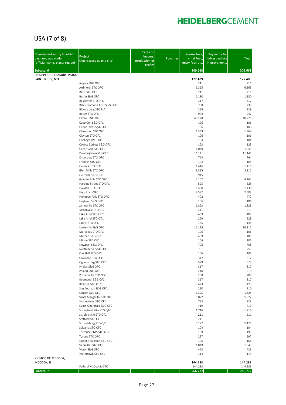### USA (7 of 8)

| Government entity to which<br>payment was made<br>(official name, place, region) | Project<br>(Aggregates quarry site)           | <b>Taxes on</b><br>income,<br>production or<br>profits | <b>Royalties</b> | License fees,<br>rental fees,<br>entry fees etc. | <b>Payments for</b><br>infrastructure<br>improvements | <b>Total</b>    |
|----------------------------------------------------------------------------------|-----------------------------------------------|--------------------------------------------------------|------------------|--------------------------------------------------|-------------------------------------------------------|-----------------|
| Subtotal 6                                                                       |                                               |                                                        |                  | 309.668                                          |                                                       | 309.668         |
| US DEPT OF TREASURY MSHA,                                                        |                                               |                                                        |                  |                                                  |                                                       |                 |
| SAINT LOUIS, MO                                                                  | Angola S&G OFC                                |                                                        |                  | 122.489<br>211                                   |                                                       | 122.489<br>211  |
|                                                                                  | Ardmore STO OFC                               |                                                        |                  | 6.365                                            |                                                       | 6.365           |
|                                                                                  | Bath S&G OFC                                  |                                                        |                  | 211                                              |                                                       | 211             |
|                                                                                  | Berlin S&G OFC                                |                                                        |                  | 1.180                                            |                                                       | 1.180           |
|                                                                                  | Bessemer STO OFC<br>Black Diamond AGG S&G OFC |                                                        |                  | 317<br>738                                       |                                                       | 317<br>738      |
|                                                                                  | Bloomsburg STO PLT                            |                                                        |                  | 229                                              |                                                       | 229             |
|                                                                                  | Butler STO OFC                                |                                                        |                  | 942                                              |                                                       | 942             |
|                                                                                  | Canby S&G OFC                                 |                                                        |                  | 40.228                                           |                                                       | 40.228          |
|                                                                                  | Cape Con S&G OFC<br>Cedar Lakes S&G OFC       |                                                        |                  | 106<br>106                                       |                                                       | 106<br>106      |
|                                                                                  | Clarendon STO OFC                             |                                                        |                  | 1.369                                            |                                                       | 1.369           |
|                                                                                  | Clayton STO OFC                               |                                                        |                  | 106                                              |                                                       | 106             |
|                                                                                  | Coolidge RMC OFC                              |                                                        |                  | 104                                              |                                                       | 104             |
|                                                                                  | Coyote Springs S&G OFC                        |                                                        |                  | 123                                              |                                                       | 123             |
|                                                                                  | Curtin Gap STO OFC<br>Downingtown STO OFC     |                                                        |                  | 1.049<br>11.141                                  |                                                       | 1.049<br>11.141 |
|                                                                                  | Enumclaw STO OFC                              |                                                        |                  | 764                                              |                                                       | 764             |
|                                                                                  | Franklin STO OFC                              |                                                        |                  | 104                                              |                                                       | 104             |
|                                                                                  | Geneva STO OFC                                |                                                        |                  | 1.416                                            |                                                       | 1.416           |
|                                                                                  | Glen Mills STO OFC<br>Gold Bar S&G OFC        |                                                        |                  | 3.815<br>915                                     |                                                       | 3.815<br>915    |
|                                                                                  | Granite Falls STO OFC                         |                                                        |                  | 4.162                                            |                                                       | 4.162           |
|                                                                                  | Harding Street STO OFC                        |                                                        |                  | 525                                              |                                                       | 525             |
|                                                                                  | Hayden STO OFC                                |                                                        |                  | 1.430                                            |                                                       | 1.430           |
|                                                                                  | High Rock-OFC                                 |                                                        |                  | 2.582                                            |                                                       | 2.582           |
|                                                                                  | Honeoye Falls STO OFC                         |                                                        |                  | 472                                              |                                                       | 472             |
|                                                                                  | Hughson S&G OFC<br>Jamesville STO OFC         |                                                        |                  | 106<br>1.823                                     |                                                       | 106<br>1.823    |
|                                                                                  | Jordanville STO OFC                           |                                                        |                  | 211                                              |                                                       | 211             |
|                                                                                  | Lake Ariel STO OFC                            |                                                        |                  | 409                                              |                                                       | 409             |
|                                                                                  | Lake Ariel STO QT1                            |                                                        |                  | 229                                              |                                                       | 229             |
|                                                                                  | Laurel STO OFC                                |                                                        |                  | 145                                              |                                                       | 145             |
|                                                                                  | Lewisville S&G OFC<br>Marcellus STO OFC       |                                                        |                  | 16.115<br>106                                    |                                                       | 16.115<br>106   |
|                                                                                  | Merced S&G OFC                                |                                                        |                  | 489                                              |                                                       | 489             |
|                                                                                  | Milton STO OFC                                |                                                        |                  | 106                                              |                                                       | 106             |
|                                                                                  | Newport S&G OFC                               |                                                        |                  | 708                                              |                                                       | 708             |
|                                                                                  | North Bend S&G OFC<br>Oak Hall STO OFC        |                                                        |                  | 751<br>106                                       |                                                       | 751<br>106      |
|                                                                                  | Oakwood STO OFC                               |                                                        |                  | 317                                              |                                                       | 317             |
|                                                                                  | Ogdensburg STO OFC                            |                                                        |                  | 579                                              |                                                       | 579             |
|                                                                                  | Phelps S&G OFC                                |                                                        |                  | 317                                              |                                                       | 317             |
|                                                                                  | Poland S&G OFC                                |                                                        |                  | 210                                              |                                                       | 210             |
|                                                                                  | Putnamville STO OFC<br>Redmond S&G OFC        |                                                        |                  | 208<br>317                                       |                                                       | 208<br>317      |
|                                                                                  | Rich Hill STO QTC                             |                                                        |                  | 423                                              |                                                       | 423             |
|                                                                                  | San Andreas S&G OFC                           |                                                        |                  | 210                                              |                                                       | 210             |
|                                                                                  | Sanger S&G OFC                                |                                                        |                  | 1.325                                            |                                                       | 1.325           |
|                                                                                  | Santa Margarita STO OFC                       |                                                        |                  | 5.022                                            |                                                       | 5.022           |
|                                                                                  | Skaneateles STO OFC<br>South Onondaga S&G OFC |                                                        |                  | 723<br>419                                       |                                                       | 723<br>419      |
|                                                                                  | Springfield Pike STO QTC                      |                                                        |                  | 1.716                                            |                                                       | 1.716           |
|                                                                                  | St.Johnsville STO OFC                         |                                                        |                  | 211                                              |                                                       | 211             |
|                                                                                  | Stafford STO OFC                              |                                                        |                  | 211                                              |                                                       | 211             |
|                                                                                  | Stroudsburg STO QT1                           |                                                        |                  | 5.177                                            |                                                       | 5.177           |
|                                                                                  | Sylvania STO OFC<br>Torrance PMA STO QTC      |                                                        |                  | 104<br>199                                       |                                                       | 104<br>199      |
|                                                                                  | Tyrone STO OFC                                |                                                        |                  | 297                                              |                                                       | 297             |
|                                                                                  | Upper Township S&G OFC                        |                                                        |                  | 106                                              |                                                       | 106             |
|                                                                                  | Versailles STO OFC                            |                                                        |                  | 1.849                                            |                                                       | 1.849           |
|                                                                                  | Victor S&G OFC                                |                                                        |                  | 423                                              |                                                       | 423             |
| VILLAGE OF MCCOOK,                                                               | Watertown STO OFC                             |                                                        |                  | 114                                              |                                                       | 114             |
| MCCOOK, IL                                                                       |                                               |                                                        |                  | 144.283                                          |                                                       | 144.283         |
|                                                                                  | Federal McCookIL-STO                          |                                                        |                  | 144.283                                          |                                                       | 144.283         |
| Subtotal 7                                                                       |                                               |                                                        |                  | 266.772                                          |                                                       | 266.772         |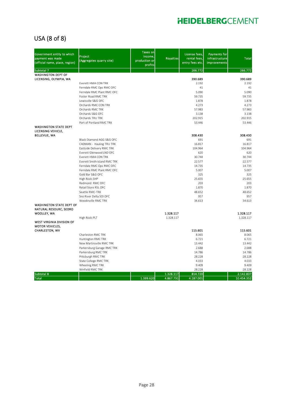### USA (8 of 8)

| Government entity to which<br>payment was made<br>(official name, place, region) | Project<br>(Aggregates quarry site)                    | <b>Taxes on</b><br>income,<br>production or<br>profits | <b>Royalties</b> | License fees,<br>rental fees,<br>entry fees etc. | Payments for<br>infrastructure<br><b>improvements</b> | <b>Total</b>    |
|----------------------------------------------------------------------------------|--------------------------------------------------------|--------------------------------------------------------|------------------|--------------------------------------------------|-------------------------------------------------------|-----------------|
| Subtotal 7                                                                       |                                                        |                                                        |                  | 266.772                                          |                                                       | 266.772         |
| <b>WASHINGTON DEPT OF</b>                                                        |                                                        |                                                        |                  |                                                  |                                                       |                 |
| LICENSING, OLYMPIA, WA                                                           |                                                        |                                                        |                  | 390.689                                          |                                                       | 390.689         |
|                                                                                  | Everett HMA CON TRK                                    |                                                        |                  | 2.192<br>41                                      |                                                       | 2.192<br>41     |
|                                                                                  | Ferndale RMC Ops RMC OFC<br>Ferndale RMC Plant RMC OFC |                                                        |                  | 5.090                                            |                                                       | 5.090           |
|                                                                                  | Foster Road RMC TRK                                    |                                                        |                  | 59.735                                           |                                                       | 59.735          |
|                                                                                  | Lewisville S&G OFC                                     |                                                        |                  | 1.878                                            |                                                       | 1.878           |
|                                                                                  | Orchards RMC CON TRK                                   |                                                        |                  | 4.273                                            |                                                       | 4.273           |
|                                                                                  | Orchards RMC TRK                                       |                                                        |                  | 57.983                                           |                                                       | 57.983          |
|                                                                                  | Orchards S&G OFC                                       |                                                        |                  | 3.138                                            |                                                       | 3.138           |
|                                                                                  | Orchards TRU TRK                                       |                                                        |                  | 202.915                                          |                                                       | 202.915         |
|                                                                                  | Port of Portland RMC TRK                               |                                                        |                  | 53.446                                           |                                                       | 53.446          |
| <b>WASHINGTON STATE DEPT</b>                                                     |                                                        |                                                        |                  |                                                  |                                                       |                 |
| LICENSING VEHICLE,                                                               |                                                        |                                                        |                  |                                                  |                                                       |                 |
| <b>BELLEVUE, WA</b>                                                              |                                                        |                                                        |                  | 308.430                                          |                                                       | 308.430         |
|                                                                                  | Black Diamond AGG S&G OFC                              |                                                        |                  | 691                                              |                                                       | 691             |
|                                                                                  | CADMAN - Hauling TRU TRK                               |                                                        |                  | 16.817                                           |                                                       | 16.817          |
|                                                                                  | Eastside Delivery RMC TRK                              |                                                        |                  | 104.964                                          |                                                       | 104.964         |
|                                                                                  | Everett Glenwood LND OFC                               |                                                        |                  | 620                                              |                                                       | 620             |
|                                                                                  | Everett HMA CON TRK                                    |                                                        |                  | 30.744                                           |                                                       | 30.744          |
|                                                                                  | Everett Smith Island RMC TRK                           |                                                        |                  | 22.577                                           |                                                       | 22.577          |
|                                                                                  | Ferndale RMC Ops RMC OFC                               |                                                        |                  | 14.735                                           |                                                       | 14.735          |
|                                                                                  | Ferndale RMC Plant RMC OFC<br>Gold Bar S&G OFC         |                                                        |                  | 5.007                                            |                                                       | 5.007           |
|                                                                                  |                                                        |                                                        |                  | 325<br>25.655                                    |                                                       | 325<br>25.655   |
|                                                                                  | High Rock-SHP<br>Redmond RMC OFC                       |                                                        |                  | 203                                              |                                                       | 203             |
|                                                                                  | Retail Store RSL OFC                                   |                                                        |                  | 1.870                                            |                                                       | 1.870           |
|                                                                                  | Seattle RMC-TRK                                        |                                                        |                  | 48.652                                           |                                                       | 48.652          |
|                                                                                  | Sno River Delta SOI OFC                                |                                                        |                  | 957                                              |                                                       | 957             |
|                                                                                  | Woodinville RMC TRK                                    |                                                        |                  | 34.613                                           |                                                       | 34.613          |
| <b>WASHINGTON STATE DEPT OF</b>                                                  |                                                        |                                                        |                  |                                                  |                                                       |                 |
| NATURAL RESOURC, SEDRO                                                           |                                                        |                                                        |                  |                                                  |                                                       |                 |
| WOOLLEY, WA                                                                      |                                                        |                                                        | 1.328.117        |                                                  |                                                       | 1.328.117       |
|                                                                                  | High Rock-PLT                                          |                                                        | 1.328.117        |                                                  |                                                       | 1.328.117       |
| <b>WEST VIRGINIA DIVISION OF</b>                                                 |                                                        |                                                        |                  |                                                  |                                                       |                 |
| MOTOR VEHICLES,                                                                  |                                                        |                                                        |                  |                                                  |                                                       |                 |
| CHARLESTON, WV                                                                   |                                                        |                                                        |                  | 115.601                                          |                                                       | 115.601         |
|                                                                                  | Charleston RMC TRK                                     |                                                        |                  | 8.065                                            |                                                       | 8.065           |
|                                                                                  | Huntington RMC TRK                                     |                                                        |                  | 6.721                                            |                                                       | 6.721           |
|                                                                                  | New Martinsville RMC TRK                               |                                                        |                  | 13.442                                           |                                                       | 13.442          |
|                                                                                  | Parkersburg Garage RMC TRK                             |                                                        |                  | 2.688                                            |                                                       | 2.688           |
|                                                                                  | Parkersburg RMC TRK                                    |                                                        |                  | 14.786                                           |                                                       | 14.786          |
|                                                                                  | Pittsburgh RMC TRK                                     |                                                        |                  | 28.228<br>4.033                                  |                                                       | 28.228<br>4.033 |
|                                                                                  | State College RMC TRK<br>Wheeling RMC TRK              |                                                        |                  | 9.409                                            |                                                       | 9.409           |
|                                                                                  | Winfield RMC TRK                                       |                                                        |                  | 28.228                                           |                                                       | 28.228          |
| Subtotal 8                                                                       |                                                        |                                                        | 1.328.117        | 814.720                                          |                                                       | 2.142.837       |
| <b>Total</b>                                                                     |                                                        | 1.399.620                                              | 4.867.731        | 4.187.001                                        |                                                       | 10.454.352      |